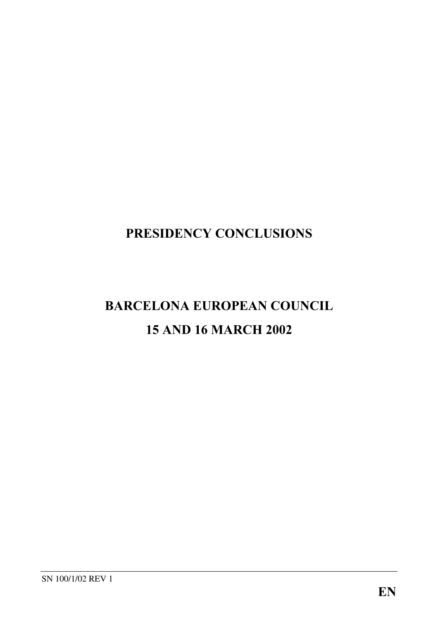## PRESIDENCY CONCLUSIONS

## BARCELONA EUROPEAN COUNCIL 15 AND 16 MARCH 2002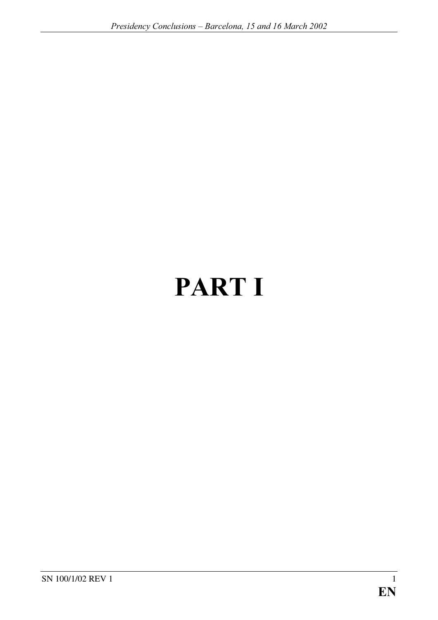# PART I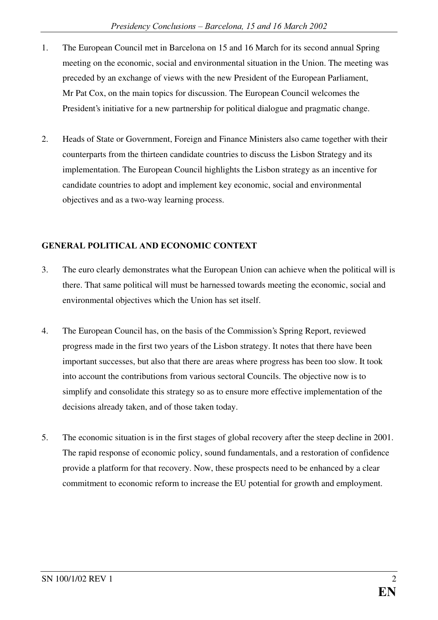- 1. The European Council met in Barcelona on 15 and 16 March for its second annual Spring meeting on the economic, social and environmental situation in the Union. The meeting was preceded by an exchange of views with the new President of the European Parliament, Mr Pat Cox, on the main topics for discussion. The European Council welcomes the President's initiative for a new partnership for political dialogue and pragmatic change.
- 2. Heads of State or Government, Foreign and Finance Ministers also came together with their counterparts from the thirteen candidate countries to discuss the Lisbon Strategy and its implementation. The European Council highlights the Lisbon strategy as an incentive for candidate countries to adopt and implement key economic, social and environmental objectives and as a two-way learning process.

#### **GENERAL POLITICAL AND ECONOMIC CONTEXT**

- 3. The euro clearly demonstrates what the European Union can achieve when the political will is there. That same political will must be harnessed towards meeting the economic, social and environmental objectives which the Union has set itself.
- 4. The European Council has, on the basis of the Commission's Spring Report, reviewed progress made in the first two years of the Lisbon strategy. It notes that there have been important successes, but also that there are areas where progress has been too slow. It took into account the contributions from various sectoral Councils. The objective now is to simplify and consolidate this strategy so as to ensure more effective implementation of the decisions already taken, and of those taken today.
- 5. The economic situation is in the first stages of global recovery after the steep decline in 2001. The rapid response of economic policy, sound fundamentals, and a restoration of confidence provide a platform for that recovery. Now, these prospects need to be enhanced by a clear commitment to economic reform to increase the EU potential for growth and employment.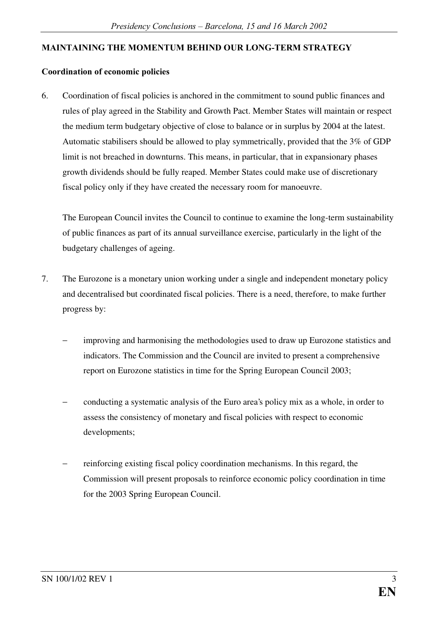#### MAINTAINING THE MOMENTUM BEHIND OUR LONG-TERM STRATEGY

#### Coordination of economic policies

6. Coordination of fiscal policies is anchored in the commitment to sound public finances and rules of play agreed in the Stability and Growth Pact. Member States will maintain or respect the medium term budgetary objective of close to balance or in surplus by 2004 at the latest. Automatic stabilisers should be allowed to play symmetrically, provided that the 3% of GDP limit is not breached in downturns. This means, in particular, that in expansionary phases growth dividends should be fully reaped. Member States could make use of discretionary fiscal policy only if they have created the necessary room for manoeuvre.

The European Council invites the Council to continue to examine the long-term sustainability of public finances as part of its annual surveillance exercise, particularly in the light of the budgetary challenges of ageing.

- 7. The Eurozone is a monetary union working under a single and independent monetary policy and decentralised but coordinated fiscal policies. There is a need, therefore, to make further progress by:
	- improving and harmonising the methodologies used to draw up Eurozone statistics and indicators. The Commission and the Council are invited to present a comprehensive report on Eurozone statistics in time for the Spring European Council 2003;
	- − conducting a systematic analysis of the Euro area's policy mix as a whole, in order to assess the consistency of monetary and fiscal policies with respect to economic developments;
	- − reinforcing existing fiscal policy coordination mechanisms. In this regard, the Commission will present proposals to reinforce economic policy coordination in time for the 2003 Spring European Council.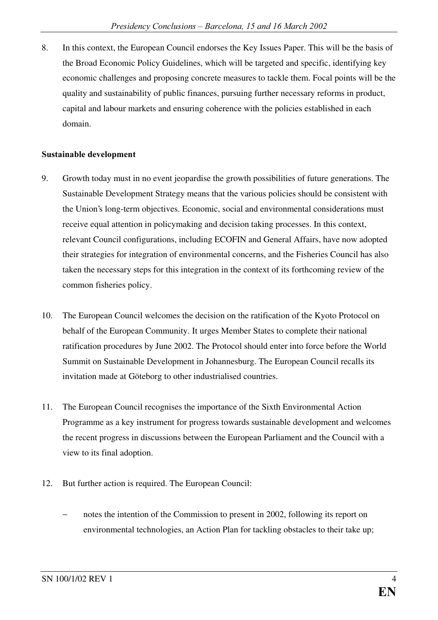8. In this context, the European Council endorses the Key Issues Paper. This will be the basis of the Broad Economic Policy Guidelines, which will be targeted and specific, identifying key economic challenges and proposing concrete measures to tackle them. Focal points will be the quality and sustainability of public finances, pursuing further necessary reforms in product, capital and labour markets and ensuring coherence with the policies established in each domain.

#### Sustainable development

- 9. Growth today must in no event jeopardise the growth possibilities of future generations. The Sustainable Development Strategy means that the various policies should be consistent with the Union's long-term objectives. Economic, social and environmental considerations must receive equal attention in policymaking and decision taking processes. In this context, relevant Council configurations, including ECOFIN and General Affairs, have now adopted their strategies for integration of environmental concerns, and the Fisheries Council has also taken the necessary steps for this integration in the context of its forthcoming review of the common fisheries policy.
- 10. The European Council welcomes the decision on the ratification of the Kyoto Protocol on behalf of the European Community. It urges Member States to complete their national ratification procedures by June 2002. The Protocol should enter into force before the World Summit on Sustainable Development in Johannesburg. The European Council recalls its invitation made at Göteborg to other industrialised countries.
- 11. The European Council recognises the importance of the Sixth Environmental Action Programme as a key instrument for progress towards sustainable development and welcomes the recent progress in discussions between the European Parliament and the Council with a view to its final adoption.
- 12. But further action is required. The European Council:
	- notes the intention of the Commission to present in 2002, following its report on environmental technologies, an Action Plan for tackling obstacles to their take up;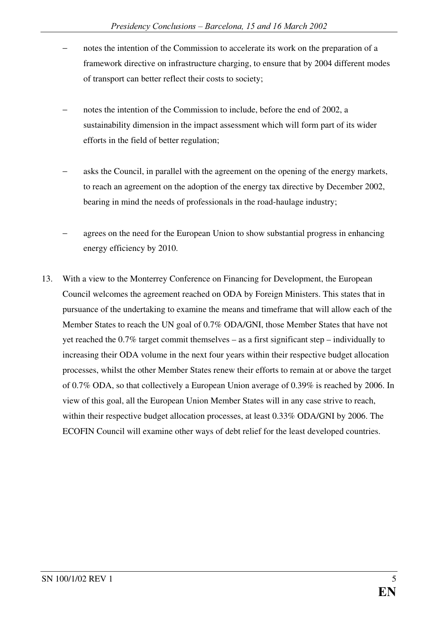- notes the intention of the Commission to accelerate its work on the preparation of a framework directive on infrastructure charging, to ensure that by 2004 different modes of transport can better reflect their costs to society;
- notes the intention of the Commission to include, before the end of 2002, a sustainability dimension in the impact assessment which will form part of its wider efforts in the field of better regulation;
- asks the Council, in parallel with the agreement on the opening of the energy markets, to reach an agreement on the adoption of the energy tax directive by December 2002, bearing in mind the needs of professionals in the road-haulage industry;
- agrees on the need for the European Union to show substantial progress in enhancing energy efficiency by 2010.
- 13. With a view to the Monterrey Conference on Financing for Development, the European Council welcomes the agreement reached on ODA by Foreign Ministers. This states that in pursuance of the undertaking to examine the means and timeframe that will allow each of the Member States to reach the UN goal of 0.7% ODA/GNI, those Member States that have not yet reached the 0.7% target commit themselves – as a first significant step – individually to increasing their ODA volume in the next four years within their respective budget allocation processes, whilst the other Member States renew their efforts to remain at or above the target of 0.7% ODA, so that collectively a European Union average of 0.39% is reached by 2006. In view of this goal, all the European Union Member States will in any case strive to reach, within their respective budget allocation processes, at least 0.33% ODA/GNI by 2006. The ECOFIN Council will examine other ways of debt relief for the least developed countries.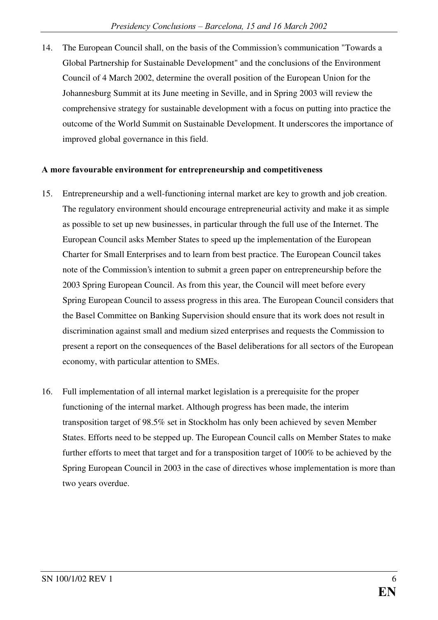14. The European Council shall, on the basis of the Commission's communication "Towards a Global Partnership for Sustainable Development" and the conclusions of the Environment Council of 4 March 2002, determine the overall position of the European Union for the Johannesburg Summit at its June meeting in Seville, and in Spring 2003 will review the comprehensive strategy for sustainable development with a focus on putting into practice the outcome of the World Summit on Sustainable Development. It underscores the importance of improved global governance in this field.

#### A more favourable environment for entrepreneurship and competitiveness

- 15. Entrepreneurship and a well-functioning internal market are key to growth and job creation. The regulatory environment should encourage entrepreneurial activity and make it as simple as possible to set up new businesses, in particular through the full use of the Internet. The European Council asks Member States to speed up the implementation of the European Charter for Small Enterprises and to learn from best practice. The European Council takes note of the Commission's intention to submit a green paper on entrepreneurship before the 2003 Spring European Council. As from this year, the Council will meet before every Spring European Council to assess progress in this area. The European Council considers that the Basel Committee on Banking Supervision should ensure that its work does not result in discrimination against small and medium sized enterprises and requests the Commission to present a report on the consequences of the Basel deliberations for all sectors of the European economy, with particular attention to SMEs.
- 16. Full implementation of all internal market legislation is a prerequisite for the proper functioning of the internal market. Although progress has been made, the interim transposition target of 98.5% set in Stockholm has only been achieved by seven Member States. Efforts need to be stepped up. The European Council calls on Member States to make further efforts to meet that target and for a transposition target of 100% to be achieved by the Spring European Council in 2003 in the case of directives whose implementation is more than two years overdue.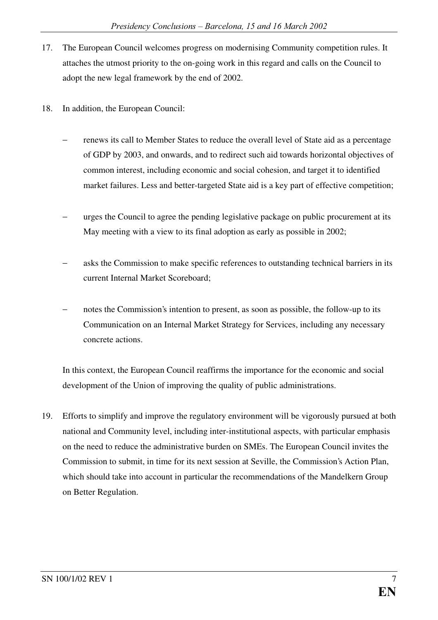- 17. The European Council welcomes progress on modernising Community competition rules. It attaches the utmost priority to the on-going work in this regard and calls on the Council to adopt the new legal framework by the end of 2002.
- 18. In addition, the European Council:
	- renews its call to Member States to reduce the overall level of State aid as a percentage of GDP by 2003, and onwards, and to redirect such aid towards horizontal objectives of common interest, including economic and social cohesion, and target it to identified market failures. Less and better-targeted State aid is a key part of effective competition;
	- urges the Council to agree the pending legislative package on public procurement at its May meeting with a view to its final adoption as early as possible in 2002;
	- asks the Commission to make specific references to outstanding technical barriers in its current Internal Market Scoreboard;
	- notes the Commission's intention to present, as soon as possible, the follow-up to its Communication on an Internal Market Strategy for Services, including any necessary concrete actions.

In this context, the European Council reaffirms the importance for the economic and social development of the Union of improving the quality of public administrations.

19. Efforts to simplify and improve the regulatory environment will be vigorously pursued at both national and Community level, including inter-institutional aspects, with particular emphasis on the need to reduce the administrative burden on SMEs. The European Council invites the Commission to submit, in time for its next session at Seville, the Commission's Action Plan, which should take into account in particular the recommendations of the Mandelkern Group on Better Regulation.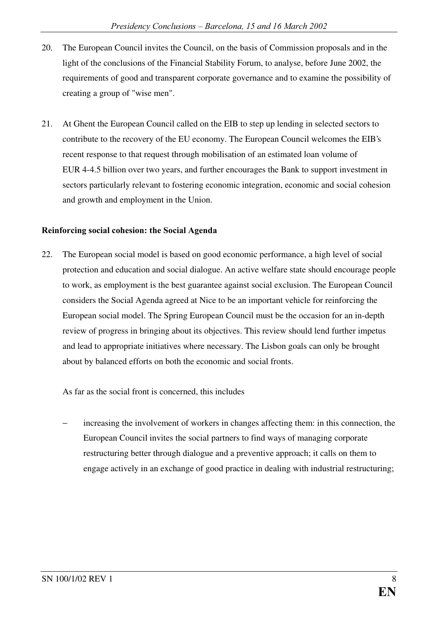- 20. The European Council invites the Council, on the basis of Commission proposals and in the light of the conclusions of the Financial Stability Forum, to analyse, before June 2002, the requirements of good and transparent corporate governance and to examine the possibility of creating a group of "wise men".
- 21. At Ghent the European Council called on the EIB to step up lending in selected sectors to contribute to the recovery of the EU economy. The European Council welcomes the EIB's recent response to that request through mobilisation of an estimated loan volume of EUR 4-4.5 billion over two years, and further encourages the Bank to support investment in sectors particularly relevant to fostering economic integration, economic and social cohesion and growth and employment in the Union.

#### Reinforcing social cohesion: the Social Agenda

22. The European social model is based on good economic performance, a high level of social protection and education and social dialogue. An active welfare state should encourage people to work, as employment is the best guarantee against social exclusion. The European Council considers the Social Agenda agreed at Nice to be an important vehicle for reinforcing the European social model. The Spring European Council must be the occasion for an in-depth review of progress in bringing about its objectives. This review should lend further impetus and lead to appropriate initiatives where necessary. The Lisbon goals can only be brought about by balanced efforts on both the economic and social fronts.

As far as the social front is concerned, this includes

increasing the involvement of workers in changes affecting them: in this connection, the European Council invites the social partners to find ways of managing corporate restructuring better through dialogue and a preventive approach; it calls on them to engage actively in an exchange of good practice in dealing with industrial restructuring;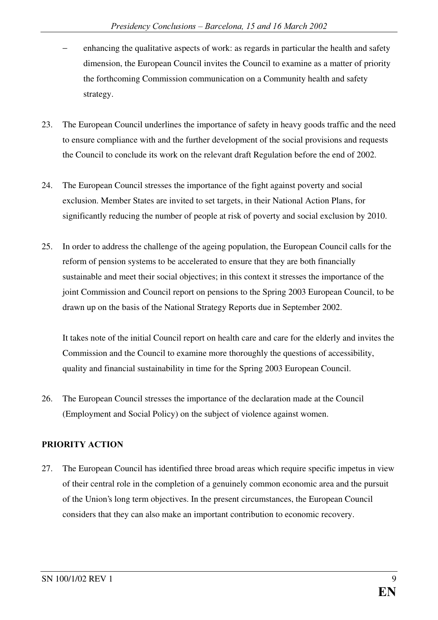- enhancing the qualitative aspects of work: as regards in particular the health and safety dimension, the European Council invites the Council to examine as a matter of priority the forthcoming Commission communication on a Community health and safety strategy.
- 23. The European Council underlines the importance of safety in heavy goods traffic and the need to ensure compliance with and the further development of the social provisions and requests the Council to conclude its work on the relevant draft Regulation before the end of 2002.
- 24. The European Council stresses the importance of the fight against poverty and social exclusion. Member States are invited to set targets, in their National Action Plans, for significantly reducing the number of people at risk of poverty and social exclusion by 2010.
- 25. In order to address the challenge of the ageing population, the European Council calls for the reform of pension systems to be accelerated to ensure that they are both financially sustainable and meet their social objectives; in this context it stresses the importance of the joint Commission and Council report on pensions to the Spring 2003 European Council, to be drawn up on the basis of the National Strategy Reports due in September 2002.

It takes note of the initial Council report on health care and care for the elderly and invites the Commission and the Council to examine more thoroughly the questions of accessibility, quality and financial sustainability in time for the Spring 2003 European Council.

26. The European Council stresses the importance of the declaration made at the Council (Employment and Social Policy) on the subject of violence against women.

#### PRIORITY ACTION

27. The European Council has identified three broad areas which require specific impetus in view of their central role in the completion of a genuinely common economic area and the pursuit of the Union's long term objectives. In the present circumstances, the European Council considers that they can also make an important contribution to economic recovery.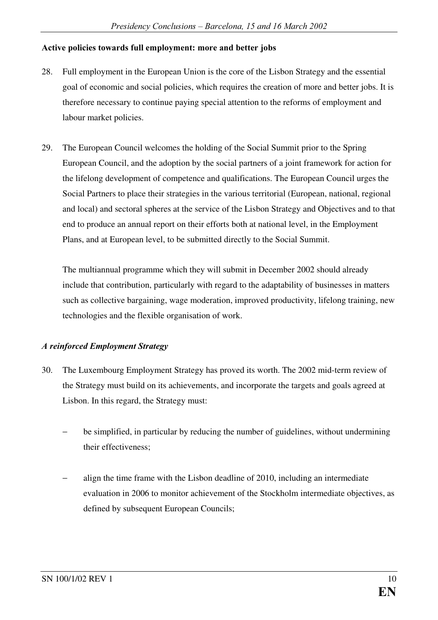#### Active policies towards full employment: more and better jobs

- 28. Full employment in the European Union is the core of the Lisbon Strategy and the essential goal of economic and social policies, which requires the creation of more and better jobs. It is therefore necessary to continue paying special attention to the reforms of employment and labour market policies.
- 29. The European Council welcomes the holding of the Social Summit prior to the Spring European Council, and the adoption by the social partners of a joint framework for action for the lifelong development of competence and qualifications. The European Council urges the Social Partners to place their strategies in the various territorial (European, national, regional and local) and sectoral spheres at the service of the Lisbon Strategy and Objectives and to that end to produce an annual report on their efforts both at national level, in the Employment Plans, and at European level, to be submitted directly to the Social Summit.

The multiannual programme which they will submit in December 2002 should already include that contribution, particularly with regard to the adaptability of businesses in matters such as collective bargaining, wage moderation, improved productivity, lifelong training, new technologies and the flexible organisation of work.

#### $\boldsymbol{A}$  reinforced Employment Strategy

- 30. The Luxembourg Employment Strategy has proved its worth. The 2002 mid-term review of the Strategy must build on its achievements, and incorporate the targets and goals agreed at Lisbon. In this regard, the Strategy must:
	- be simplified, in particular by reducing the number of guidelines, without undermining their effectiveness;
	- align the time frame with the Lisbon deadline of 2010, including an intermediate evaluation in 2006 to monitor achievement of the Stockholm intermediate objectives, as defined by subsequent European Councils;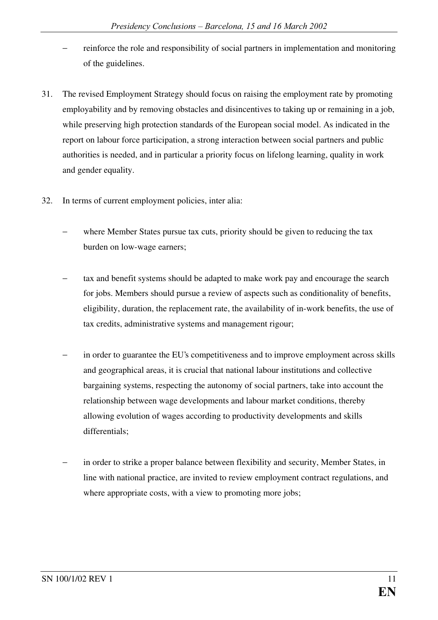- reinforce the role and responsibility of social partners in implementation and monitoring of the guidelines.
- 31. The revised Employment Strategy should focus on raising the employment rate by promoting employability and by removing obstacles and disincentives to taking up or remaining in a job, while preserving high protection standards of the European social model. As indicated in the report on labour force participation, a strong interaction between social partners and public authorities is needed, and in particular a priority focus on lifelong learning, quality in work and gender equality.
- 32. In terms of current employment policies, inter alia:
	- where Member States pursue tax cuts, priority should be given to reducing the tax burden on low-wage earners;
	- tax and benefit systems should be adapted to make work pay and encourage the search for jobs. Members should pursue a review of aspects such as conditionality of benefits, eligibility, duration, the replacement rate, the availability of in-work benefits, the use of tax credits, administrative systems and management rigour;
	- in order to guarantee the EU's competitiveness and to improve employment across skills and geographical areas, it is crucial that national labour institutions and collective bargaining systems, respecting the autonomy of social partners, take into account the relationship between wage developments and labour market conditions, thereby allowing evolution of wages according to productivity developments and skills differentials;
	- in order to strike a proper balance between flexibility and security, Member States, in line with national practice, are invited to review employment contract regulations, and where appropriate costs, with a view to promoting more jobs;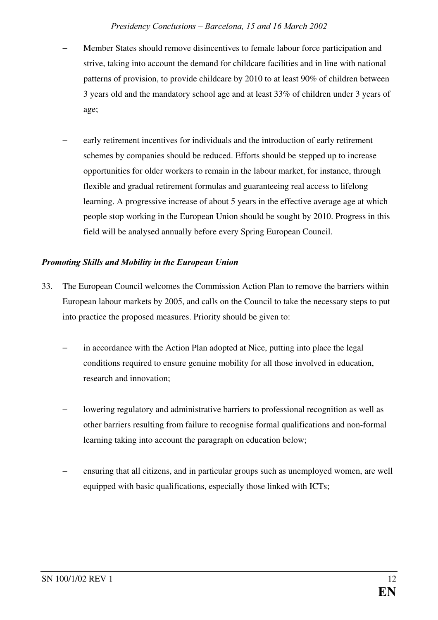- Member States should remove disincentives to female labour force participation and strive, taking into account the demand for childcare facilities and in line with national patterns of provision, to provide childcare by 2010 to at least 90% of children between 3 years old and the mandatory school age and at least 33% of children under 3 years of age;
- early retirement incentives for individuals and the introduction of early retirement schemes by companies should be reduced. Efforts should be stepped up to increase opportunities for older workers to remain in the labour market, for instance, through flexible and gradual retirement formulas and guaranteeing real access to lifelong learning. A progressive increase of about 5 years in the effective average age at which people stop working in the European Union should be sought by 2010. Progress in this field will be analysed annually before every Spring European Council.

#### *<i>Bromoting Skills and Mobility in the European Union*

- 33. The European Council welcomes the Commission Action Plan to remove the barriers within European labour markets by 2005, and calls on the Council to take the necessary steps to put into practice the proposed measures. Priority should be given to:
	- in accordance with the Action Plan adopted at Nice, putting into place the legal conditions required to ensure genuine mobility for all those involved in education, research and innovation;
	- − lowering regulatory and administrative barriers to professional recognition as well as other barriers resulting from failure to recognise formal qualifications and non-formal learning taking into account the paragraph on education below;
	- ensuring that all citizens, and in particular groups such as unemployed women, are well equipped with basic qualifications, especially those linked with ICTs;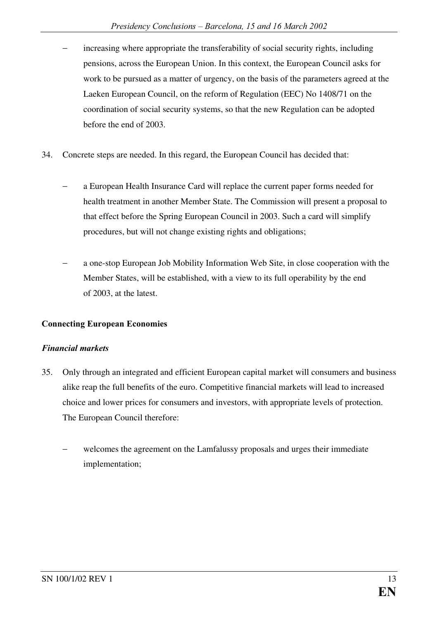- increasing where appropriate the transferability of social security rights, including pensions, across the European Union. In this context, the European Council asks for work to be pursued as a matter of urgency, on the basis of the parameters agreed at the Laeken European Council, on the reform of Regulation (EEC) No 1408/71 on the coordination of social security systems, so that the new Regulation can be adopted before the end of 2003.
- 34. Concrete steps are needed. In this regard, the European Council has decided that:
	- a European Health Insurance Card will replace the current paper forms needed for health treatment in another Member State. The Commission will present a proposal to that effect before the Spring European Council in 2003. Such a card will simplify procedures, but will not change existing rights and obligations;
	- a one-stop European Job Mobility Information Web Site, in close cooperation with the Member States, will be established, with a view to its full operability by the end of 2003, at the latest.

#### Connecting European Economies

#### *Financial markets*

- 35. Only through an integrated and efficient European capital market will consumers and business alike reap the full benefits of the euro. Competitive financial markets will lead to increased choice and lower prices for consumers and investors, with appropriate levels of protection. The European Council therefore:
	- welcomes the agreement on the Lamfalussy proposals and urges their immediate implementation;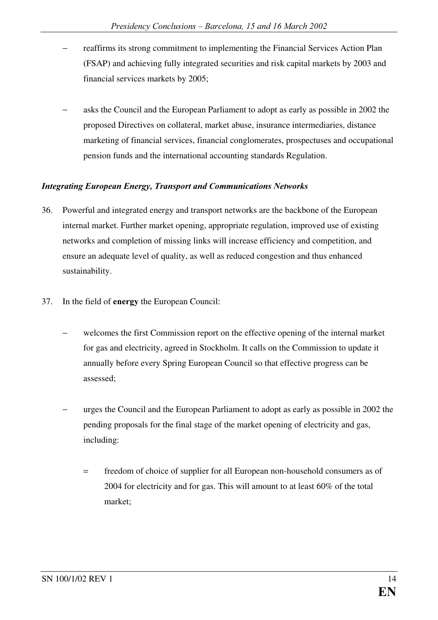- reaffirms its strong commitment to implementing the Financial Services Action Plan (FSAP) and achieving fully integrated securities and risk capital markets by 2003 and financial services markets by 2005;
- − asks the Council and the European Parliament to adopt as early as possible in 2002 the proposed Directives on collateral, market abuse, insurance intermediaries, distance marketing of financial services, financial conglomerates, prospectuses and occupational pension funds and the international accounting standards Regulation.

#### *<u>Integrating European Energy, Transport and Communications Networks</u>*

- 36. Powerful and integrated energy and transport networks are the backbone of the European internal market. Further market opening, appropriate regulation, improved use of existing networks and completion of missing links will increase efficiency and competition, and ensure an adequate level of quality, as well as reduced congestion and thus enhanced sustainability.
- 37. In the field of energy the European Council:
	- welcomes the first Commission report on the effective opening of the internal market for gas and electricity, agreed in Stockholm. It calls on the Commission to update it annually before every Spring European Council so that effective progress can be assessed;
	- urges the Council and the European Parliament to adopt as early as possible in 2002 the pending proposals for the final stage of the market opening of electricity and gas, including:
		- = freedom of choice of supplier for all European non-household consumers as of 2004 for electricity and for gas. This will amount to at least 60% of the total market;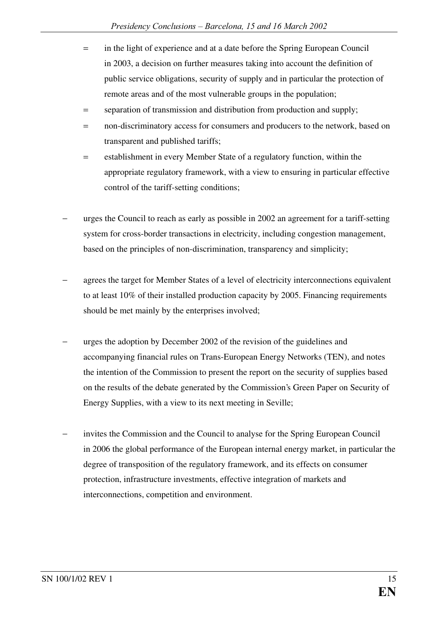- = in the light of experience and at a date before the Spring European Council in 2003, a decision on further measures taking into account the definition of public service obligations, security of supply and in particular the protection of remote areas and of the most vulnerable groups in the population;
- = separation of transmission and distribution from production and supply;
- = non-discriminatory access for consumers and producers to the network, based on transparent and published tariffs;
- = establishment in every Member State of a regulatory function, within the appropriate regulatory framework, with a view to ensuring in particular effective control of the tariff-setting conditions;
- − urges the Council to reach as early as possible in 2002 an agreement for a tariff-setting system for cross-border transactions in electricity, including congestion management, based on the principles of non-discrimination, transparency and simplicity;
- agrees the target for Member States of a level of electricity interconnections equivalent to at least 10% of their installed production capacity by 2005. Financing requirements should be met mainly by the enterprises involved;
- urges the adoption by December 2002 of the revision of the guidelines and accompanying financial rules on Trans-European Energy Networks (TEN), and notes the intention of the Commission to present the report on the security of supplies based on the results of the debate generated by the Commission's Green Paper on Security of Energy Supplies, with a view to its next meeting in Seville;
- − invites the Commission and the Council to analyse for the Spring European Council in 2006 the global performance of the European internal energy market, in particular the degree of transposition of the regulatory framework, and its effects on consumer protection, infrastructure investments, effective integration of markets and interconnections, competition and environment.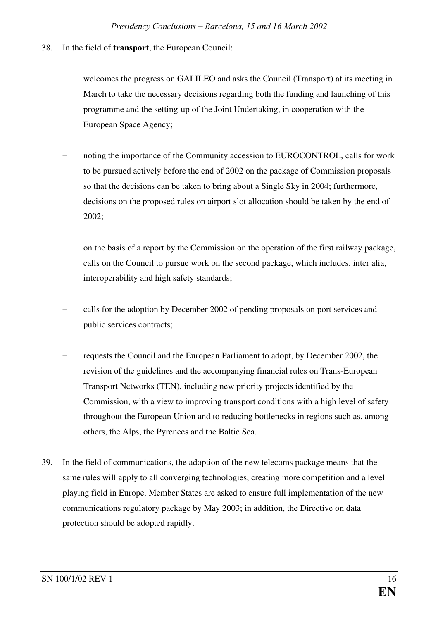- 38. In the field of **transport**, the European Council:
	- welcomes the progress on GALILEO and asks the Council (Transport) at its meeting in March to take the necessary decisions regarding both the funding and launching of this programme and the setting-up of the Joint Undertaking, in cooperation with the European Space Agency;
	- noting the importance of the Community accession to EUROCONTROL, calls for work to be pursued actively before the end of 2002 on the package of Commission proposals so that the decisions can be taken to bring about a Single Sky in 2004; furthermore, decisions on the proposed rules on airport slot allocation should be taken by the end of 2002;
	- on the basis of a report by the Commission on the operation of the first railway package, calls on the Council to pursue work on the second package, which includes, inter alia, interoperability and high safety standards;
	- − calls for the adoption by December 2002 of pending proposals on port services and public services contracts;
	- requests the Council and the European Parliament to adopt, by December 2002, the revision of the guidelines and the accompanying financial rules on Trans-European Transport Networks (TEN), including new priority projects identified by the Commission, with a view to improving transport conditions with a high level of safety throughout the European Union and to reducing bottlenecks in regions such as, among others, the Alps, the Pyrenees and the Baltic Sea.
- 39. In the field of communications, the adoption of the new telecoms package means that the same rules will apply to all converging technologies, creating more competition and a level playing field in Europe. Member States are asked to ensure full implementation of the new communications regulatory package by May 2003; in addition, the Directive on data protection should be adopted rapidly.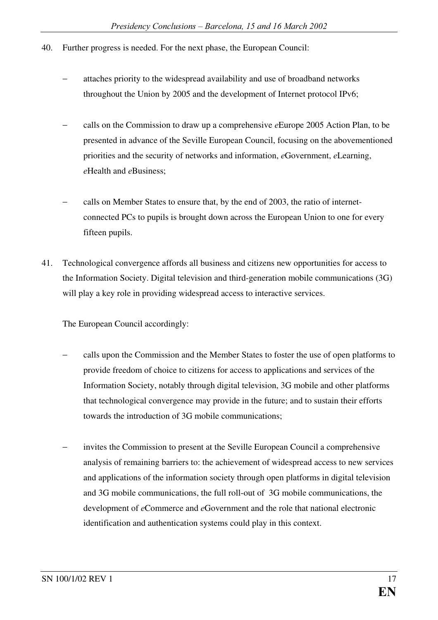- 40. Further progress is needed. For the next phase, the European Council:
	- attaches priority to the widespread availability and use of broadband networks throughout the Union by 2005 and the development of Internet protocol IPv6;
	- calls on the Commission to draw up a comprehensive *e*Europe 2005 Action Plan, to be presented in advance of the Seville European Council, focusing on the abovementioned priorities and the security of networks and information, *e*Government, *eLearning*, *e*Health and *e*Business;
	- − calls on Member States to ensure that, by the end of 2003, the ratio of internetconnected PCs to pupils is brought down across the European Union to one for every fifteen pupils.
- 41. Technological convergence affords all business and citizens new opportunities for access to the Information Society. Digital television and third-generation mobile communications (3G) will play a key role in providing widespread access to interactive services.

The European Council accordingly:

- − calls upon the Commission and the Member States to foster the use of open platforms to provide freedom of choice to citizens for access to applications and services of the Information Society, notably through digital television, 3G mobile and other platforms that technological convergence may provide in the future; and to sustain their efforts towards the introduction of 3G mobile communications;
- invites the Commission to present at the Seville European Council a comprehensive analysis of remaining barriers to: the achievement of widespread access to new services and applications of the information society through open platforms in digital television and 3G mobile communications, the full roll-out of 3G mobile communications, the development of *e*Commerce and *e*Government and the role that national electronic identification and authentication systems could play in this context.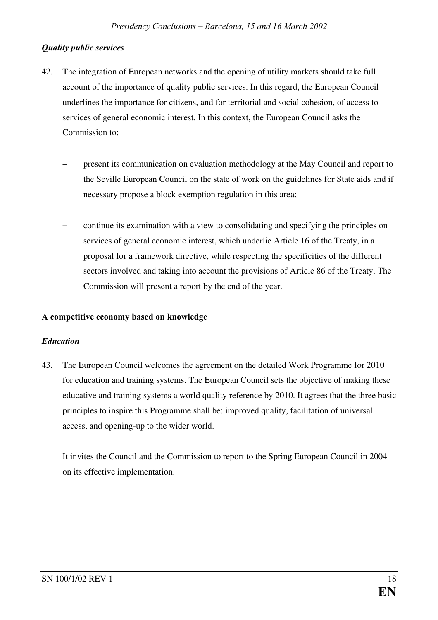#### *Quality public services*

- 42. The integration of European networks and the opening of utility markets should take full account of the importance of quality public services. In this regard, the European Council underlines the importance for citizens, and for territorial and social cohesion, of access to services of general economic interest. In this context, the European Council asks the Commission to:
	- present its communication on evaluation methodology at the May Council and report to the Seville European Council on the state of work on the guidelines for State aids and if necessary propose a block exemption regulation in this area;
	- − continue its examination with a view to consolidating and specifying the principles on services of general economic interest, which underlie Article 16 of the Treaty, in a proposal for a framework directive, while respecting the specificities of the different sectors involved and taking into account the provisions of Article 86 of the Treaty. The Commission will present a report by the end of the year.

#### A competitive economy based on knowledge

#### $Education$

43. The European Council welcomes the agreement on the detailed Work Programme for 2010 for education and training systems. The European Council sets the objective of making these educative and training systems a world quality reference by 2010. It agrees that the three basic principles to inspire this Programme shall be: improved quality, facilitation of universal access, and opening-up to the wider world.

It invites the Council and the Commission to report to the Spring European Council in 2004 on its effective implementation.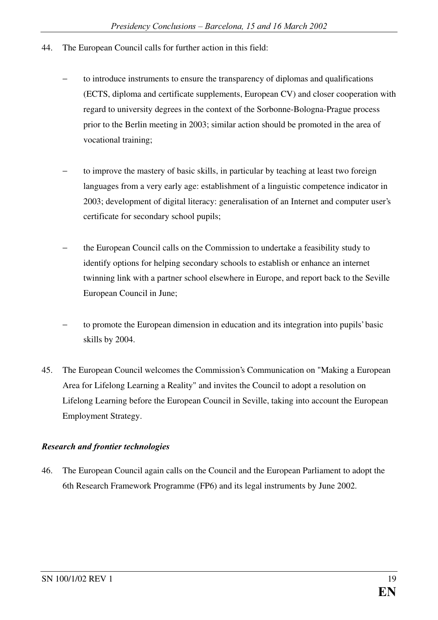- 44. The European Council calls for further action in this field:
	- to introduce instruments to ensure the transparency of diplomas and qualifications (ECTS, diploma and certificate supplements, European CV) and closer cooperation with regard to university degrees in the context of the Sorbonne-Bologna-Prague process prior to the Berlin meeting in 2003; similar action should be promoted in the area of vocational training;
	- to improve the mastery of basic skills, in particular by teaching at least two foreign languages from a very early age: establishment of a linguistic competence indicator in 2003; development of digital literacy: generalisation of an Internet and computer user's certificate for secondary school pupils;
	- − the European Council calls on the Commission to undertake a feasibility study to identify options for helping secondary schools to establish or enhance an internet twinning link with a partner school elsewhere in Europe, and report back to the Seville European Council in June;
	- to promote the European dimension in education and its integration into pupils' basic skills by 2004.
- 45. The European Council welcomes the Commission's Communication on "Making a European Area for Lifelong Learning a Reality" and invites the Council to adopt a resolution on Lifelong Learning before the European Council in Seville, taking into account the European Employment Strategy.

#### *Research and frontier technologies*

46. The European Council again calls on the Council and the European Parliament to adopt the 6th Research Framework Programme (FP6) and its legal instruments by June 2002.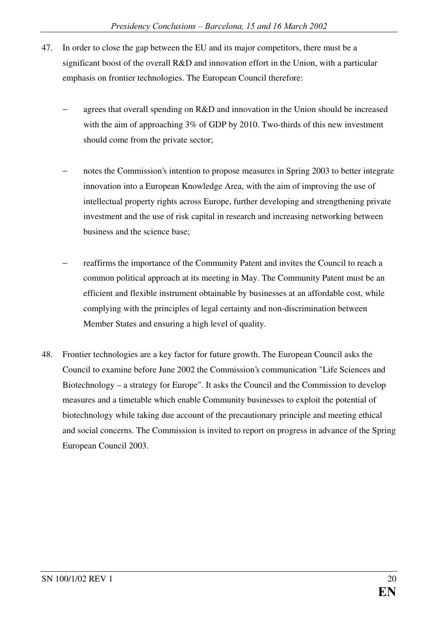- 47. In order to close the gap between the EU and its major competitors, there must be a significant boost of the overall R&D and innovation effort in the Union, with a particular emphasis on frontier technologies. The European Council therefore:
	- agrees that overall spending on  $R&D$  and innovation in the Union should be increased with the aim of approaching 3% of GDP by 2010. Two-thirds of this new investment should come from the private sector;
	- notes the Commission's intention to propose measures in Spring 2003 to better integrate innovation into a European Knowledge Area, with the aim of improving the use of intellectual property rights across Europe, further developing and strengthening private investment and the use of risk capital in research and increasing networking between business and the science base;
	- reaffirms the importance of the Community Patent and invites the Council to reach a common political approach at its meeting in May. The Community Patent must be an efficient and flexible instrument obtainable by businesses at an affordable cost, while complying with the principles of legal certainty and non-discrimination between Member States and ensuring a high level of quality.
- 48. Frontier technologies are a key factor for future growth. The European Council asks the Council to examine before June 2002 the Commission's communication "Life Sciences and Biotechnology – a strategy for Europe". It asks the Council and the Commission to develop measures and a timetable which enable Community businesses to exploit the potential of biotechnology while taking due account of the precautionary principle and meeting ethical and social concerns. The Commission is invited to report on progress in advance of the Spring European Council 2003.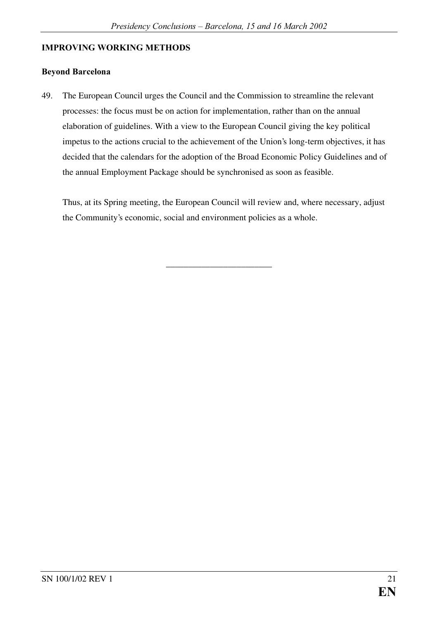#### IMPROVING WORKING METHODS

#### **Beyond Barcelona**

49. The European Council urges the Council and the Commission to streamline the relevant processes: the focus must be on action for implementation, rather than on the annual elaboration of guidelines. With a view to the European Council giving the key political impetus to the actions crucial to the achievement of the Union's long-term objectives, it has decided that the calendars for the adoption of the Broad Economic Policy Guidelines and of the annual Employment Package should be synchronised as soon as feasible.

Thus, at its Spring meeting, the European Council will review and, where necessary, adjust the Community's economic, social and environment policies as a whole.

\_\_\_\_\_\_\_\_\_\_\_\_\_\_\_\_\_\_\_\_\_\_\_\_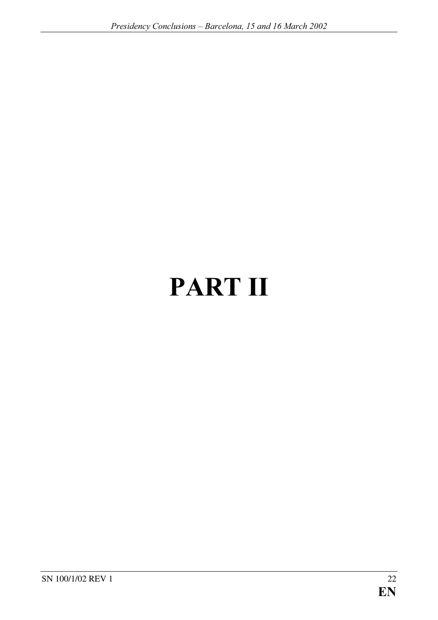# PART II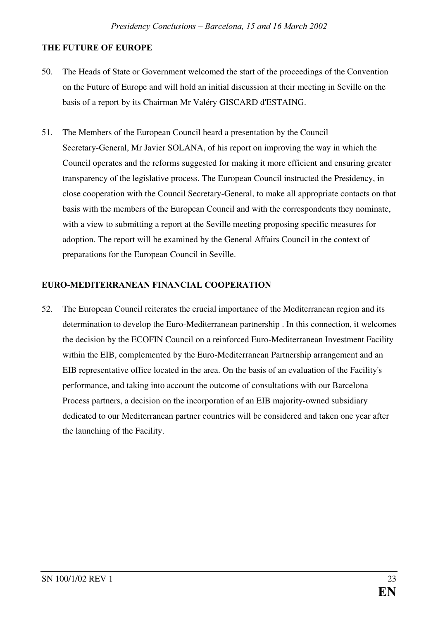#### THE FUTURE OF EUROPE

- 50. The Heads of State or Government welcomed the start of the proceedings of the Convention on the Future of Europe and will hold an initial discussion at their meeting in Seville on the basis of a report by its Chairman Mr Valéry GISCARD d'ESTAING.
- 51. The Members of the European Council heard a presentation by the Council Secretary-General, Mr Javier SOLANA, of his report on improving the way in which the Council operates and the reforms suggested for making it more efficient and ensuring greater transparency of the legislative process. The European Council instructed the Presidency, in close cooperation with the Council Secretary-General, to make all appropriate contacts on that basis with the members of the European Council and with the correspondents they nominate, with a view to submitting a report at the Seville meeting proposing specific measures for adoption. The report will be examined by the General Affairs Council in the context of preparations for the European Council in Seville.

#### EURO-MEDITERRANEAN FINANCIAL COOPERATION

52. The European Council reiterates the crucial importance of the Mediterranean region and its determination to develop the Euro-Mediterranean partnership . In this connection, it welcomes the decision by the ECOFIN Council on a reinforced Euro-Mediterranean Investment Facility within the EIB, complemented by the Euro-Mediterranean Partnership arrangement and an EIB representative office located in the area. On the basis of an evaluation of the Facility's performance, and taking into account the outcome of consultations with our Barcelona Process partners, a decision on the incorporation of an EIB majority-owned subsidiary dedicated to our Mediterranean partner countries will be considered and taken one year after the launching of the Facility.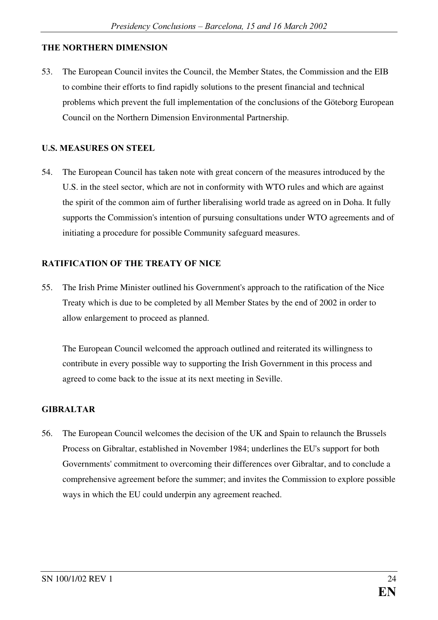#### THE NORTHERN DIMENSION

53. The European Council invites the Council, the Member States, the Commission and the EIB to combine their efforts to find rapidly solutions to the present financial and technical problems which prevent the full implementation of the conclusions of the Göteborg European Council on the Northern Dimension Environmental Partnership.

#### **U.S. MEASURES ON STEEL**

54. The European Council has taken note with great concern of the measures introduced by the U.S. in the steel sector, which are not in conformity with WTO rules and which are against the spirit of the common aim of further liberalising world trade as agreed on in Doha. It fully supports the Commission's intention of pursuing consultations under WTO agreements and of initiating a procedure for possible Community safeguard measures.

#### RATIFICATION OF THE TREATY OF NICE

55. The Irish Prime Minister outlined his Government's approach to the ratification of the Nice Treaty which is due to be completed by all Member States by the end of 2002 in order to allow enlargement to proceed as planned.

The European Council welcomed the approach outlined and reiterated its willingness to contribute in every possible way to supporting the Irish Government in this process and agreed to come back to the issue at its next meeting in Seville.

#### $GIBRALTAR$

56. The European Council welcomes the decision of the UK and Spain to relaunch the Brussels Process on Gibraltar, established in November 1984; underlines the EU's support for both Governments'commitment to overcoming their differences over Gibraltar, and to conclude a comprehensive agreement before the summer; and invites the Commission to explore possible ways in which the EU could underpin any agreement reached.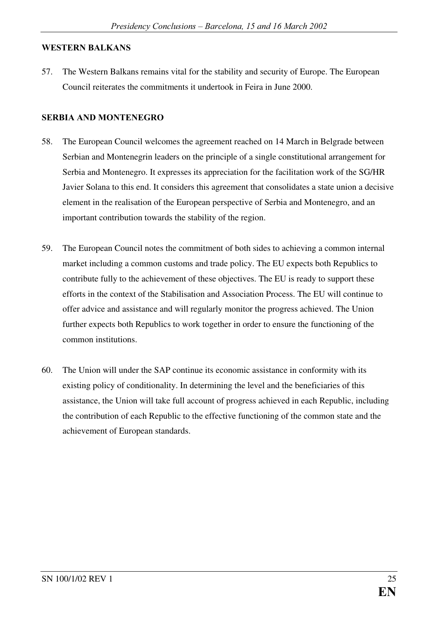#### WESTERN BALKANS

57. The Western Balkans remains vital for the stability and security of Europe. The European Council reiterates the commitments it undertook in Feira in June 2000.

#### **SERBIA AND MONTENEGRO**

- 58. The European Council welcomes the agreement reached on 14 March in Belgrade between Serbian and Montenegrin leaders on the principle of a single constitutional arrangement for Serbia and Montenegro. It expresses its appreciation for the facilitation work of the SG/HR Javier Solana to this end. It considers this agreement that consolidates a state union a decisive element in the realisation of the European perspective of Serbia and Montenegro, and an important contribution towards the stability of the region.
- 59. The European Council notes the commitment of both sides to achieving a common internal market including a common customs and trade policy. The EU expects both Republics to contribute fully to the achievement of these objectives. The EU is ready to support these efforts in the context of the Stabilisation and Association Process. The EU will continue to offer advice and assistance and will regularly monitor the progress achieved. The Union further expects both Republics to work together in order to ensure the functioning of the common institutions.
- 60. The Union will under the SAP continue its economic assistance in conformity with its existing policy of conditionality. In determining the level and the beneficiaries of this assistance, the Union will take full account of progress achieved in each Republic, including the contribution of each Republic to the effective functioning of the common state and the achievement of European standards.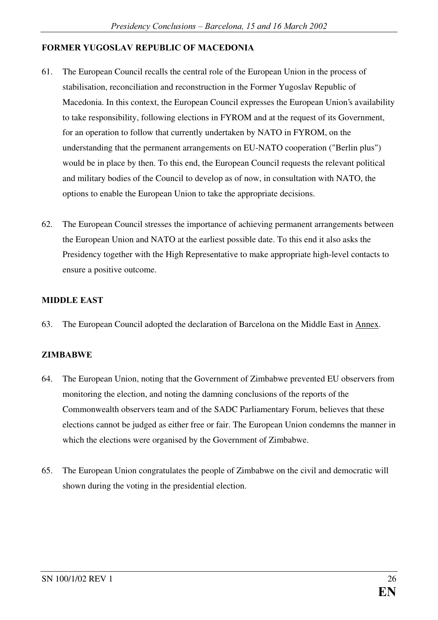#### FORMER YUGOSLAV REPUBLIC OF MACEDONIA

- 61. The European Council recalls the central role of the European Union in the process of stabilisation, reconciliation and reconstruction in the Former Yugoslav Republic of Macedonia. In this context, the European Council expresses the European Union's availability to take responsibility, following elections in FYROM and at the request of its Government, for an operation to follow that currently undertaken by NATO in FYROM, on the understanding that the permanent arrangements on EU-NATO cooperation ("Berlin plus") would be in place by then. To this end, the European Council requests the relevant political and military bodies of the Council to develop as of now, in consultation with NATO, the options to enable the European Union to take the appropriate decisions.
- 62. The European Council stresses the importance of achieving permanent arrangements between the European Union and NATO at the earliest possible date. To this end it also asks the Presidency together with the High Representative to make appropriate high-level contacts to ensure a positive outcome.

#### **MIDDLE EAST**

63. The European Council adopted the declaration of Barcelona on the Middle East in Annex.

#### ZIMBABWE

- 64. The European Union, noting that the Government of Zimbabwe prevented EU observers from monitoring the election, and noting the damning conclusions of the reports of the Commonwealth observers team and of the SADC Parliamentary Forum, believes that these elections cannot be judged as either free or fair. The European Union condemns the manner in which the elections were organised by the Government of Zimbabwe.
- 65. The European Union congratulates the people of Zimbabwe on the civil and democratic will shown during the voting in the presidential election.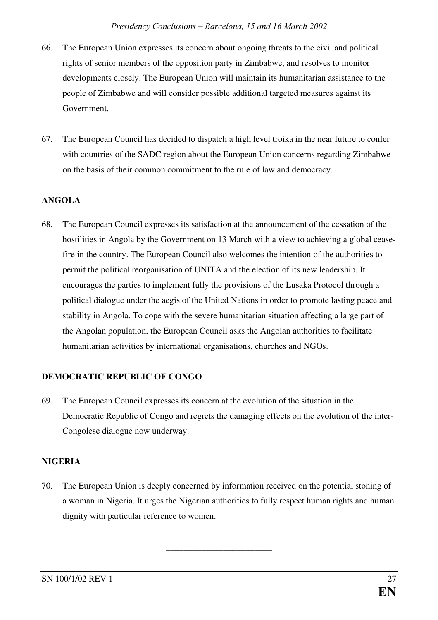- 66. The European Union expresses its concern about ongoing threats to the civil and political rights of senior members of the opposition party in Zimbabwe, and resolves to monitor developments closely. The European Union will maintain its humanitarian assistance to the people of Zimbabwe and will consider possible additional targeted measures against its Government.
- 67. The European Council has decided to dispatch a high level troika in the near future to confer with countries of the SADC region about the European Union concerns regarding Zimbabwe on the basis of their common commitment to the rule of law and democracy.

#### ANGOLA

68. The European Council expresses its satisfaction at the announcement of the cessation of the hostilities in Angola by the Government on 13 March with a view to achieving a global ceasefire in the country. The European Council also welcomes the intention of the authorities to permit the political reorganisation of UNITA and the election of its new leadership. It encourages the parties to implement fully the provisions of the Lusaka Protocol through a political dialogue under the aegis of the United Nations in order to promote lasting peace and stability in Angola. To cope with the severe humanitarian situation affecting a large part of the Angolan population, the European Council asks the Angolan authorities to facilitate humanitarian activities by international organisations, churches and NGOs.

#### DEMOCRATIC REPUBLIC OF CONGO

69. The European Council expresses its concern at the evolution of the situation in the Democratic Republic of Congo and regrets the damaging effects on the evolution of the inter-Congolese dialogue now underway.

#### NIGERIA

70. The European Union is deeply concerned by information received on the potential stoning of a woman in Nigeria. It urges the Nigerian authorities to fully respect human rights and human dignity with particular reference to women.

\_\_\_\_\_\_\_\_\_\_\_\_\_\_\_\_\_\_\_\_\_\_\_\_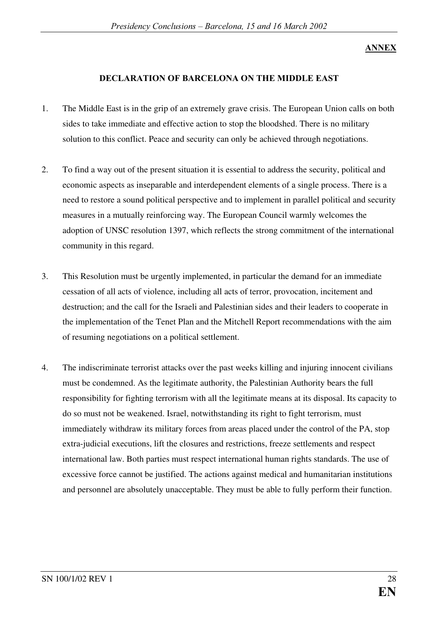#### **ANNEX**

#### DECLARATION OF BARCELONA ON THE MIDDLE EAST

- 1. The Middle East is in the grip of an extremely grave crisis. The European Union calls on both sides to take immediate and effective action to stop the bloodshed. There is no military solution to this conflict. Peace and security can only be achieved through negotiations.
- 2. To find a way out of the present situation it is essential to address the security, political and economic aspects as inseparable and interdependent elements of a single process. There is a need to restore a sound political perspective and to implement in parallel political and security measures in a mutually reinforcing way. The European Council warmly welcomes the adoption of UNSC resolution 1397, which reflects the strong commitment of the international community in this regard.
- 3. This Resolution must be urgently implemented, in particular the demand for an immediate cessation of all acts of violence, including all acts of terror, provocation, incitement and destruction; and the call for the Israeli and Palestinian sides and their leaders to cooperate in the implementation of the Tenet Plan and the Mitchell Report recommendations with the aim of resuming negotiations on a political settlement.
- 4. The indiscriminate terrorist attacks over the past weeks killing and injuring innocent civilians must be condemned. As the legitimate authority, the Palestinian Authority bears the full responsibility for fighting terrorism with all the legitimate means at its disposal. Its capacity to do so must not be weakened. Israel, notwithstanding its right to fight terrorism, must immediately withdraw its military forces from areas placed under the control of the PA, stop extra-judicial executions, lift the closures and restrictions, freeze settlements and respect international law. Both parties must respect international human rights standards. The use of excessive force cannot be justified. The actions against medical and humanitarian institutions and personnel are absolutely unacceptable. They must be able to fully perform their function.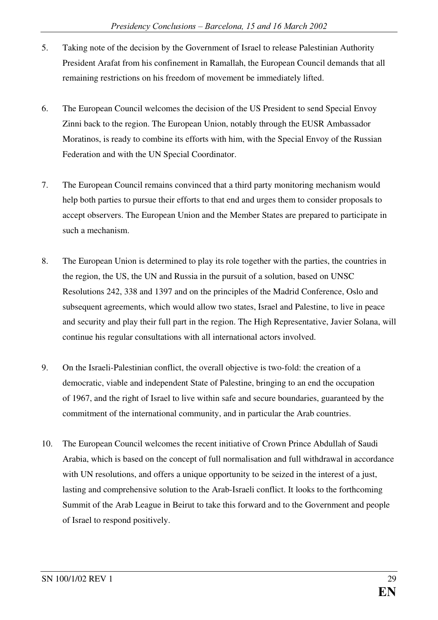- 5. Taking note of the decision by the Government of Israel to release Palestinian Authority President Arafat from his confinement in Ramallah, the European Council demands that all remaining restrictions on his freedom of movement be immediately lifted.
- 6. The European Council welcomes the decision of the US President to send Special Envoy Zinni back to the region. The European Union, notably through the EUSR Ambassador Moratinos, is ready to combine its efforts with him, with the Special Envoy of the Russian Federation and with the UN Special Coordinator.
- 7. The European Council remains convinced that a third party monitoring mechanism would help both parties to pursue their efforts to that end and urges them to consider proposals to accept observers. The European Union and the Member States are prepared to participate in such a mechanism.
- 8. The European Union is determined to play its role together with the parties, the countries in the region, the US, the UN and Russia in the pursuit of a solution, based on UNSC Resolutions 242, 338 and 1397 and on the principles of the Madrid Conference, Oslo and subsequent agreements, which would allow two states, Israel and Palestine, to live in peace and security and play their full part in the region. The High Representative, Javier Solana, will continue his regular consultations with all international actors involved.
- 9. On the Israeli-Palestinian conflict, the overall objective is two-fold: the creation of a democratic, viable and independent State of Palestine, bringing to an end the occupation of 1967, and the right of Israel to live within safe and secure boundaries, guaranteed by the commitment of the international community, and in particular the Arab countries.
- 10. The European Council welcomes the recent initiative of Crown Prince Abdullah of Saudi Arabia, which is based on the concept of full normalisation and full withdrawal in accordance with UN resolutions, and offers a unique opportunity to be seized in the interest of a just, lasting and comprehensive solution to the Arab-Israeli conflict. It looks to the forthcoming Summit of the Arab League in Beirut to take this forward and to the Government and people of Israel to respond positively.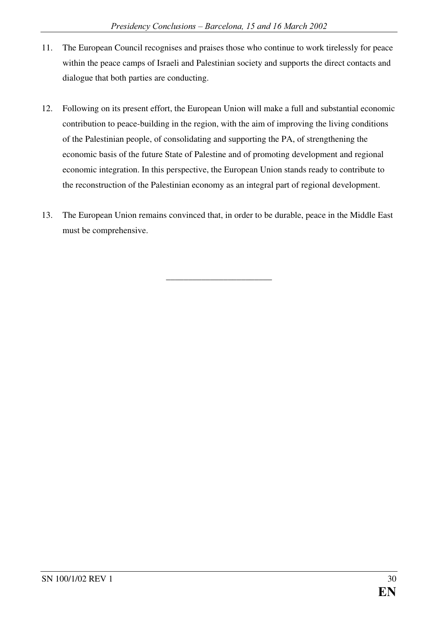- 11. The European Council recognises and praises those who continue to work tirelessly for peace within the peace camps of Israeli and Palestinian society and supports the direct contacts and dialogue that both parties are conducting.
- 12. Following on its present effort, the European Union will make a full and substantial economic contribution to peace-building in the region, with the aim of improving the living conditions of the Palestinian people, of consolidating and supporting the PA, of strengthening the economic basis of the future State of Palestine and of promoting development and regional economic integration. In this perspective, the European Union stands ready to contribute to the reconstruction of the Palestinian economy as an integral part of regional development.
- 13. The European Union remains convinced that, in order to be durable, peace in the Middle East must be comprehensive.

\_\_\_\_\_\_\_\_\_\_\_\_\_\_\_\_\_\_\_\_\_\_\_\_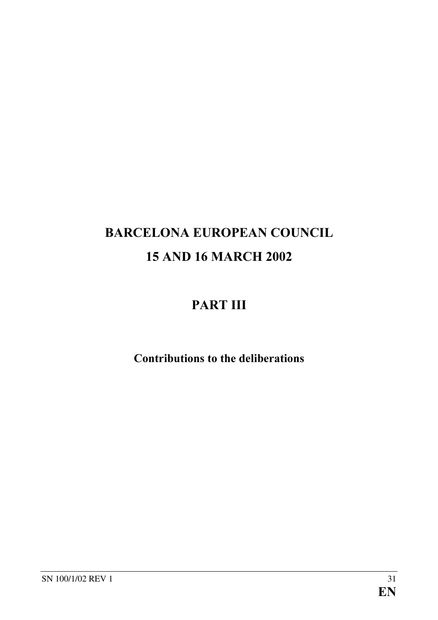# BARCELONA EUROPEAN COUNCIL 15 AND 16 MARCH 2002

## PART III

Contributions to the deliberations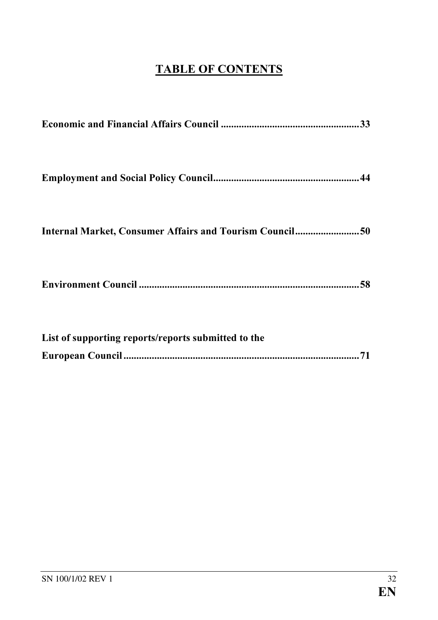### **TABLE OF CONTENTS**

| Internal Market, Consumer Affairs and Tourism Council50 |
|---------------------------------------------------------|
|                                                         |
| List of supporting reports/reports submitted to the     |
| 71                                                      |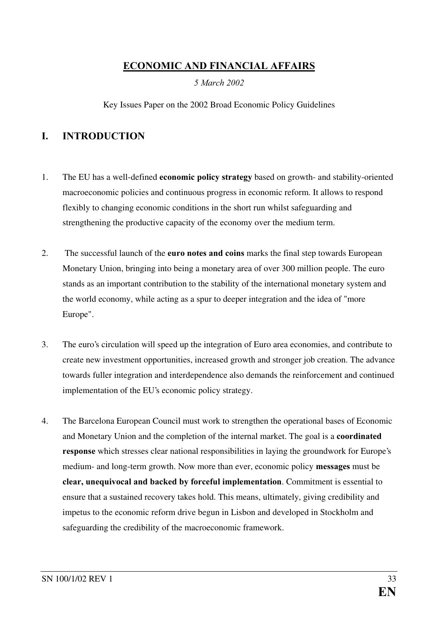#### ECONOMIC AND FINANCIAL AFFAIRS

5 March 2002

Key Issues Paper on the 2002 Broad Economic Policy Guidelines

#### **I. INTRODUCTION**

- 1. The EU has a well-defined **economic policy strategy** based on growth- and stability-oriented macroeconomic policies and continuous progress in economic reform. It allows to respond flexibly to changing economic conditions in the short run whilst safeguarding and strengthening the productive capacity of the economy over the medium term.
- 2. The successful launch of the **euro notes and coins** marks the final step towards European Monetary Union, bringing into being a monetary area of over 300 million people. The euro stands as an important contribution to the stability of the international monetary system and the world economy, while acting as a spur to deeper integration and the idea of "more Europe".
- 3. The euro's circulation will speed up the integration of Euro area economies, and contribute to create new investment opportunities, increased growth and stronger job creation. The advance towards fuller integration and interdependence also demands the reinforcement and continued implementation of the EU's economic policy strategy.
- 4. The Barcelona European Council must work to strengthen the operational bases of Economic and Monetary Union and the completion of the internal market. The goal is a **coordinated** response which stresses clear national responsibilities in laying the groundwork for Europe's medium- and long-term growth. Now more than ever, economic policy messages must be clear, unequivocal and backed by forceful implementation. Commitment is essential to ensure that a sustained recovery takes hold. This means, ultimately, giving credibility and impetus to the economic reform drive begun in Lisbon and developed in Stockholm and safeguarding the credibility of the macroeconomic framework.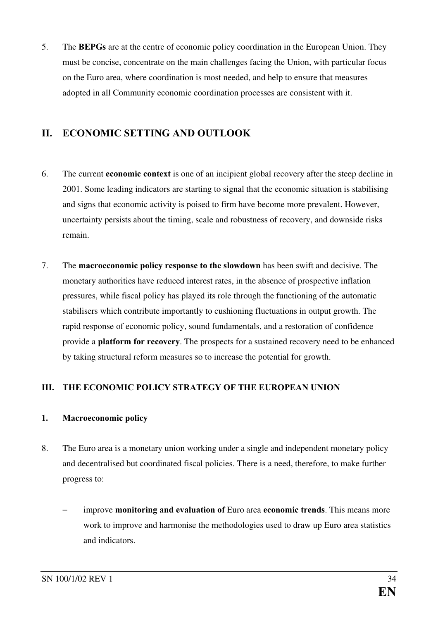5. The **BEPGs** are at the centre of economic policy coordination in the European Union. They must be concise, concentrate on the main challenges facing the Union, with particular focus on the Euro area, where coordination is most needed, and help to ensure that measures adopted in all Community economic coordination processes are consistent with it.

#### II. ECONOMIC SETTING AND OUTLOOK

- 6. The current **economic context** is one of an incipient global recovery after the steep decline in 2001. Some leading indicators are starting to signal that the economic situation is stabilising and signs that economic activity is poised to firm have become more prevalent. However, uncertainty persists about the timing, scale and robustness of recovery, and downside risks remain.
- 7. The macroeconomic policy response to the slowdown has been swift and decisive. The monetary authorities have reduced interest rates, in the absence of prospective inflation pressures, while fiscal policy has played its role through the functioning of the automatic stabilisers which contribute importantly to cushioning fluctuations in output growth. The rapid response of economic policy, sound fundamentals, and a restoration of confidence provide a **platform for recovery**. The prospects for a sustained recovery need to be enhanced by taking structural reform measures so to increase the potential for growth.

#### III. THE ECONOMIC POLICY STRATEGY OF THE EUROPEAN UNION

#### 1. Macroeconomic policy

- 8. The Euro area is a monetary union working under a single and independent monetary policy and decentralised but coordinated fiscal policies. There is a need, therefore, to make further progress to:
	- improve monitoring and evaluation of Euro area economic trends. This means more work to improve and harmonise the methodologies used to draw up Euro area statistics and indicators.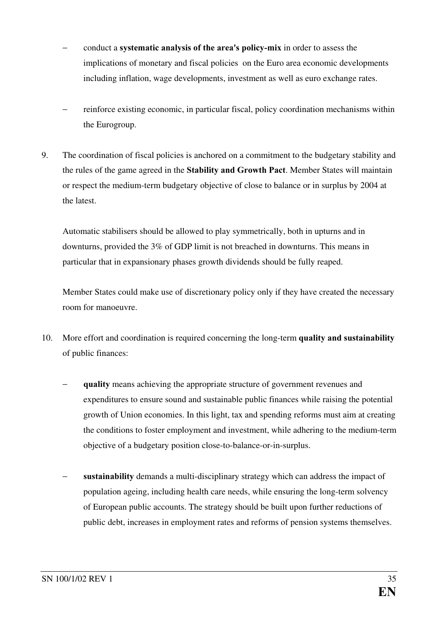- conduct a systematic analysis of the area's policy-mix in order to assess the implications of monetary and fiscal policies on the Euro area economic developments including inflation, wage developments, investment as well as euro exchange rates.
- − reinforce existing economic, in particular fiscal, policy coordination mechanisms within the Eurogroup.
- 9. The coordination of fiscal policies is anchored on a commitment to the budgetary stability and the rules of the game agreed in the Stability and Growth Pact. Member States will maintain or respect the medium-term budgetary objective of close to balance or in surplus by 2004 at the latest.

Automatic stabilisers should be allowed to play symmetrically, both in upturns and in downturns, provided the 3% of GDP limit is not breached in downturns. This means in particular that in expansionary phases growth dividends should be fully reaped.

Member States could make use of discretionary policy only if they have created the necessary room for manoeuvre.

- 10. More effort and coordination is required concerning the long-term quality and sustainability of public finances:
	- quality means achieving the appropriate structure of government revenues and expenditures to ensure sound and sustainable public finances while raising the potential growth of Union economies. In this light, tax and spending reforms must aim at creating the conditions to foster employment and investment, while adhering to the medium-term objective of a budgetary position close-to-balance-or-in-surplus.
	- sustainability demands a multi-disciplinary strategy which can address the impact of population ageing, including health care needs, while ensuring the long-term solvency of European public accounts. The strategy should be built upon further reductions of public debt, increases in employment rates and reforms of pension systems themselves.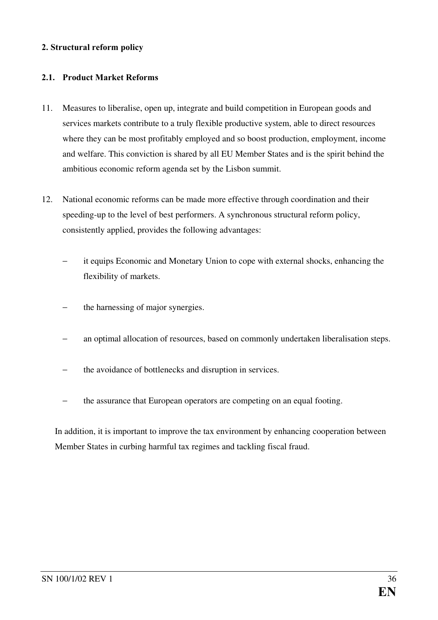### 2. Structural reform policy

### 2.1. Product Market Reforms

- 11. Measures to liberalise, open up, integrate and build competition in European goods and services markets contribute to a truly flexible productive system, able to direct resources where they can be most profitably employed and so boost production, employment, income and welfare. This conviction is shared by all EU Member States and is the spirit behind the ambitious economic reform agenda set by the Lisbon summit.
- 12. National economic reforms can be made more effective through coordination and their speeding-up to the level of best performers. A synchronous structural reform policy, consistently applied, provides the following advantages:
	- it equips Economic and Monetary Union to cope with external shocks, enhancing the flexibility of markets.
	- the harnessing of major synergies.
	- an optimal allocation of resources, based on commonly undertaken liberalisation steps.
	- the avoidance of bottlenecks and disruption in services.
	- the assurance that European operators are competing on an equal footing.

In addition, it is important to improve the tax environment by enhancing cooperation between Member States in curbing harmful tax regimes and tackling fiscal fraud.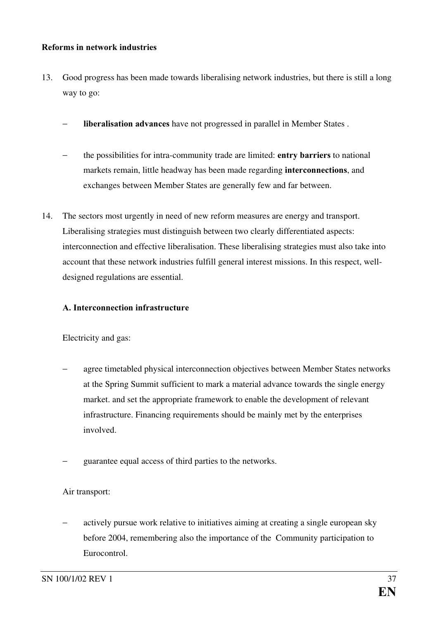#### Reforms in network industries

- 13. Good progress has been made towards liberalising network industries, but there is still a long way to go:
	- liberalisation advances have not progressed in parallel in Member States .
	- the possibilities for intra-community trade are limited: entry barriers to national markets remain, little headway has been made regarding interconnections, and exchanges between Member States are generally few and far between.
- 14. The sectors most urgently in need of new reform measures are energy and transport. Liberalising strategies must distinguish between two clearly differentiated aspects: interconnection and effective liberalisation. These liberalising strategies must also take into account that these network industries fulfill general interest missions. In this respect, welldesigned regulations are essential.

### A. Interconnection infrastructure

Electricity and gas:

- agree timetabled physical interconnection objectives between Member States networks at the Spring Summit sufficient to mark a material advance towards the single energy market. and set the appropriate framework to enable the development of relevant infrastructure. Financing requirements should be mainly met by the enterprises involved.
- guarantee equal access of third parties to the networks.

### Air transport:

actively pursue work relative to initiatives aiming at creating a single european sky before 2004, remembering also the importance of the Community participation to Eurocontrol.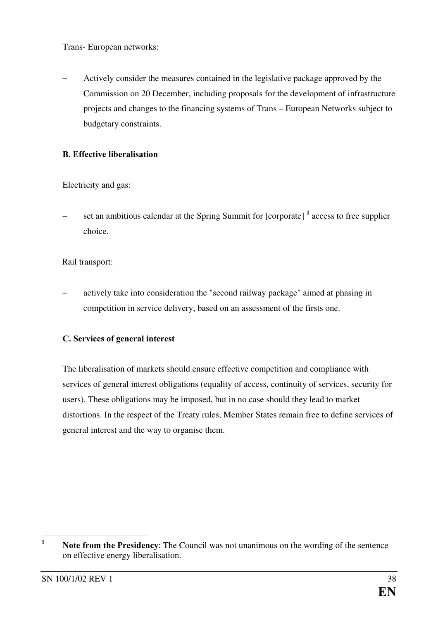Trans- European networks:

− Actively consider the measures contained in the legislative package approved by the Commission on 20 December, including proposals for the development of infrastructure projects and changes to the financing systems of Trans – European Networks subject to budgetary constraints.

### **B.** Effective liberalisation

Electricity and gas:

− set an ambitious calendar at the Spring Summit for [corporate] <sup>1</sup> access to free supplier choice.

Rail transport:

actively take into consideration the "second railway package" aimed at phasing in competition in service delivery, based on an assessment of the firsts one.

### C. Services of general interest

The liberalisation of markets should ensure effective competition and compliance with services of general interest obligations (equality of access, continuity of services, security for users). These obligations may be imposed, but in no case should they lead to market distortions. In the respect of the Treaty rules, Member States remain free to define services of general interest and the way to organise them.

 $\mathbf{1}$ Note from the Presidency: The Council was not unanimous on the wording of the sentence on effective energy liberalisation.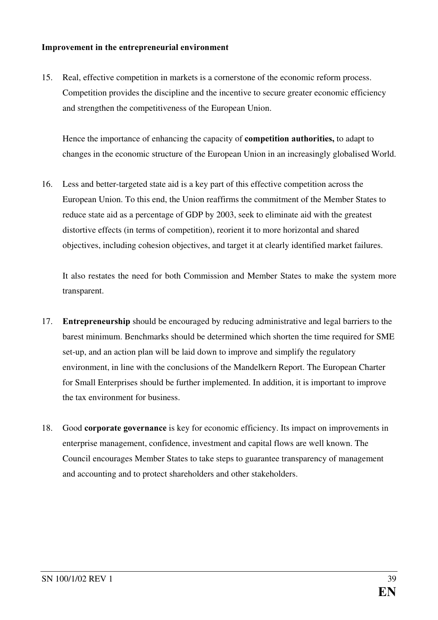#### Improvement in the entrepreneurial environment

15. Real, effective competition in markets is a cornerstone of the economic reform process. Competition provides the discipline and the incentive to secure greater economic efficiency and strengthen the competitiveness of the European Union.

Hence the importance of enhancing the capacity of **competition authorities**, to adapt to changes in the economic structure of the European Union in an increasingly globalised World.

16. Less and better-targeted state aid is a key part of this effective competition across the European Union. To this end, the Union reaffirms the commitment of the Member States to reduce state aid as a percentage of GDP by 2003, seek to eliminate aid with the greatest distortive effects (in terms of competition), reorient it to more horizontal and shared objectives, including cohesion objectives, and target it at clearly identified market failures.

It also restates the need for both Commission and Member States to make the system more transparent.

- 17. Entrepreneurship should be encouraged by reducing administrative and legal barriers to the barest minimum. Benchmarks should be determined which shorten the time required for SME set-up, and an action plan will be laid down to improve and simplify the regulatory environment, in line with the conclusions of the Mandelkern Report. The European Charter for Small Enterprises should be further implemented. In addition, it is important to improve the tax environment for business.
- 18. Good corporate governance is key for economic efficiency. Its impact on improvements in enterprise management, confidence, investment and capital flows are well known. The Council encourages Member States to take steps to guarantee transparency of management and accounting and to protect shareholders and other stakeholders.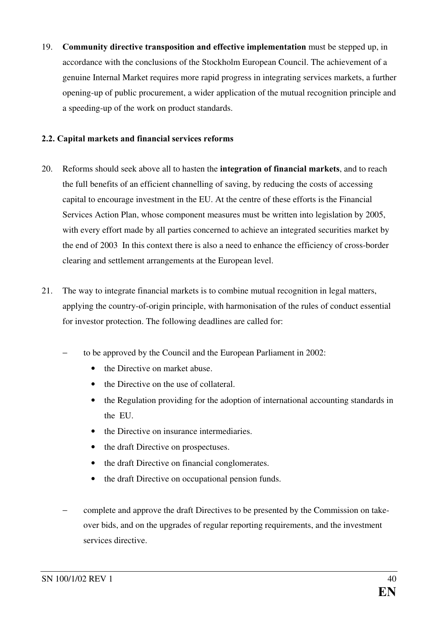19. Community directive transposition and effective implementation must be stepped up, in accordance with the conclusions of the Stockholm European Council. The achievement of a genuine Internal Market requires more rapid progress in integrating services markets, a further opening-up of public procurement, a wider application of the mutual recognition principle and a speeding-up of the work on product standards.

### 2.2. Capital markets and financial services reforms

- 20. Reforms should seek above all to hasten the integration of financial markets, and to reach the full benefits of an efficient channelling of saving, by reducing the costs of accessing capital to encourage investment in the EU. At the centre of these efforts is the Financial Services Action Plan, whose component measures must be written into legislation by 2005, with every effort made by all parties concerned to achieve an integrated securities market by the end of 2003 In this context there is also a need to enhance the efficiency of cross-border clearing and settlement arrangements at the European level.
- 21. The way to integrate financial markets is to combine mutual recognition in legal matters, applying the country-of-origin principle, with harmonisation of the rules of conduct essential for investor protection. The following deadlines are called for:
	- to be approved by the Council and the European Parliament in 2002:
		- the Directive on market abuse.
		- the Directive on the use of collateral
		- the Regulation providing for the adoption of international accounting standards in the EU.
		- the Directive on insurance intermediaries.
		- the draft Directive on prospectuses.
		- the draft Directive on financial conglomerates.
		- the draft Directive on occupational pension funds.
	- − complete and approve the draft Directives to be presented by the Commission on takeover bids, and on the upgrades of regular reporting requirements, and the investment services directive.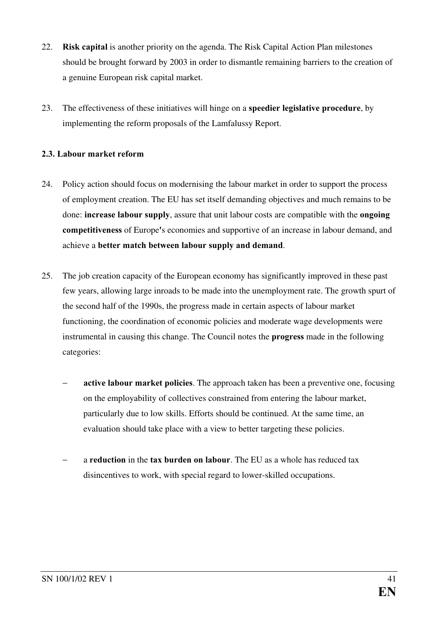- 22. **Risk capital** is another priority on the agenda. The Risk Capital Action Plan milestones should be brought forward by 2003 in order to dismantle remaining barriers to the creation of a genuine European risk capital market.
- 23. The effectiveness of these initiatives will hinge on a **speedier legislative procedure**, by implementing the reform proposals of the Lamfalussy Report.

### 2.3. Labour market reform

- 24. Policy action should focus on modernising the labour market in order to support the process of employment creation. The EU has set itself demanding objectives and much remains to be done: **increase labour supply**, assure that unit labour costs are compatible with the **ongoing** competitiveness of Europe's economies and supportive of an increase in labour demand, and achieve a better match between labour supply and demand.
- 25. The job creation capacity of the European economy has significantly improved in these past few years, allowing large inroads to be made into the unemployment rate. The growth spurt of the second half of the 1990s, the progress made in certain aspects of labour market functioning, the coordination of economic policies and moderate wage developments were instrumental in causing this change. The Council notes the **progress** made in the following categories:
	- active labour market policies. The approach taken has been a preventive one, focusing on the employability of collectives constrained from entering the labour market, particularly due to low skills. Efforts should be continued. At the same time, an evaluation should take place with a view to better targeting these policies.
	- a reduction in the tax burden on labour. The EU as a whole has reduced tax disincentives to work, with special regard to lower-skilled occupations.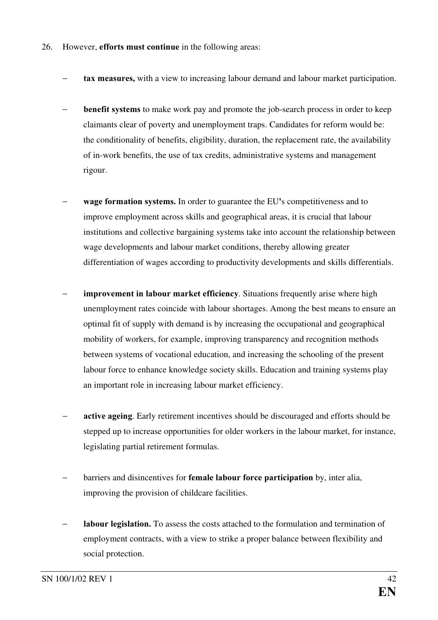- 26. However, **efforts must continue** in the following areas:
	- tax measures, with a view to increasing labour demand and labour market participation.
	- **benefit systems** to make work pay and promote the job-search process in order to keep claimants clear of poverty and unemployment traps. Candidates for reform would be: the conditionality of benefits, eligibility, duration, the replacement rate, the availability of in-work benefits, the use of tax credits, administrative systems and management rigour.
	- − wage formation systems. In order to guarantee the EU's competitiveness and to improve employment across skills and geographical areas, it is crucial that labour institutions and collective bargaining systems take into account the relationship between wage developments and labour market conditions, thereby allowing greater differentiation of wages according to productivity developments and skills differentials.
	- improvement in labour market efficiency. Situations frequently arise where high unemployment rates coincide with labour shortages. Among the best means to ensure an optimal fit of supply with demand is by increasing the occupational and geographical mobility of workers, for example, improving transparency and recognition methods between systems of vocational education, and increasing the schooling of the present labour force to enhance knowledge society skills. Education and training systems play an important role in increasing labour market efficiency.
	- active ageing. Early retirement incentives should be discouraged and efforts should be stepped up to increase opportunities for older workers in the labour market, for instance, legislating partial retirement formulas.
	- barriers and disincentives for **female labour force participation** by, inter alia, improving the provision of childcare facilities.
	- labour legislation. To assess the costs attached to the formulation and termination of employment contracts, with a view to strike a proper balance between flexibility and social protection.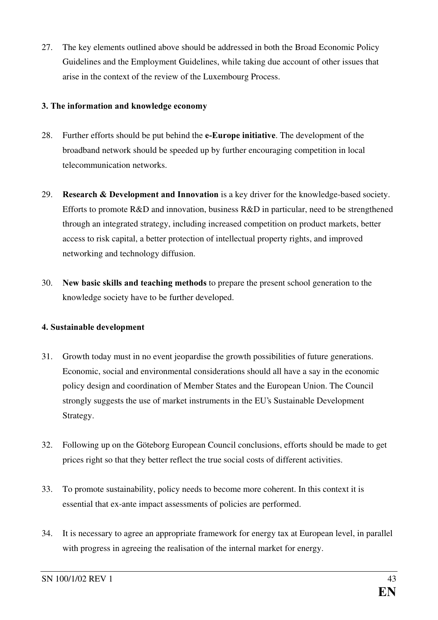27. The key elements outlined above should be addressed in both the Broad Economic Policy Guidelines and the Employment Guidelines, while taking due account of other issues that arise in the context of the review of the Luxembourg Process.

### 3. The information and knowledge economy

- 28. Further efforts should be put behind the **e-Europe initiative**. The development of the broadband network should be speeded up by further encouraging competition in local telecommunication networks.
- 29. Research & Development and Innovation is a key driver for the knowledge-based society. Efforts to promote R&D and innovation, business R&D in particular, need to be strengthened through an integrated strategy, including increased competition on product markets, better access to risk capital, a better protection of intellectual property rights, and improved networking and technology diffusion.
- 30. New basic skills and teaching methods to prepare the present school generation to the knowledge society have to be further developed.

### 4. Sustainable development

- 31. Growth today must in no event jeopardise the growth possibilities of future generations. Economic, social and environmental considerations should all have a say in the economic policy design and coordination of Member States and the European Union. The Council strongly suggests the use of market instruments in the EU's Sustainable Development Strategy.
- 32. Following up on the Göteborg European Council conclusions, efforts should be made to get prices right so that they better reflect the true social costs of different activities.
- 33. To promote sustainability, policy needs to become more coherent. In this context it is essential that ex-ante impact assessments of policies are performed.
- 34. It is necessary to agree an appropriate framework for energy tax at European level, in parallel with progress in agreeing the realisation of the internal market for energy.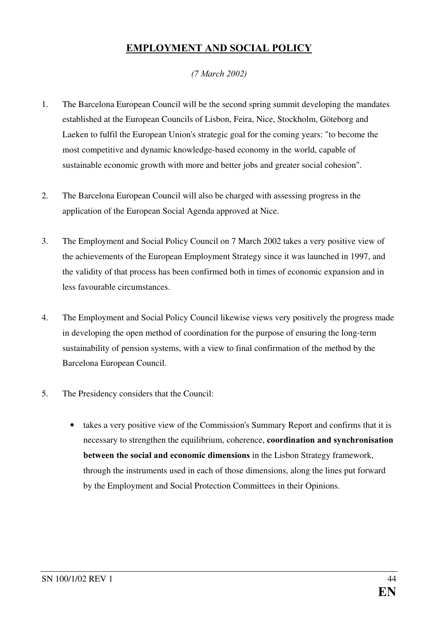# EMPLOYMENT AND SOCIAL POLICY

### *(7 March 2002)*

- 1. The Barcelona European Council will be the second spring summit developing the mandates established at the European Councils of Lisbon, Feira, Nice, Stockholm, Göteborg and Laeken to fulfil the European Union's strategic goal for the coming years: "to become the most competitive and dynamic knowledge-based economy in the world, capable of sustainable economic growth with more and better jobs and greater social cohesion".
- 2. The Barcelona European Council will also be charged with assessing progress in the application of the European Social Agenda approved at Nice.
- 3. The Employment and Social Policy Council on 7 March 2002 takes a very positive view of the achievements of the European Employment Strategy since it was launched in 1997, and the validity of that process has been confirmed both in times of economic expansion and in less favourable circumstances.
- 4. The Employment and Social Policy Council likewise views very positively the progress made in developing the open method of coordination for the purpose of ensuring the long-term sustainability of pension systems, with a view to final confirmation of the method by the Barcelona European Council.
- 5. The Presidency considers that the Council:
	- takes a very positive view of the Commission's Summary Report and confirms that it is necessary to strengthen the equilibrium, coherence, coordination and synchronisation between the social and economic dimensions in the Lisbon Strategy framework, through the instruments used in each of those dimensions, along the lines put forward by the Employment and Social Protection Committees in their Opinions.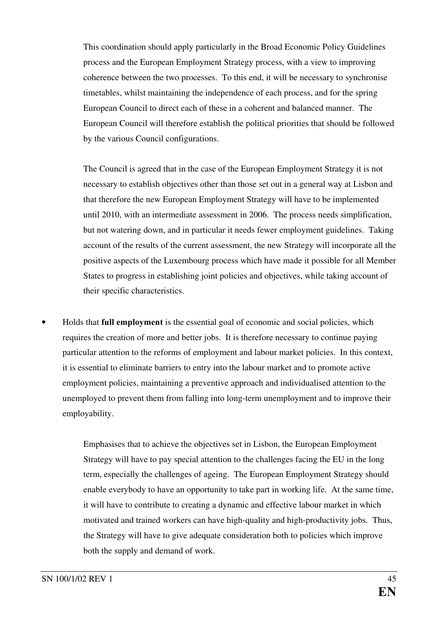This coordination should apply particularly in the Broad Economic Policy Guidelines process and the European Employment Strategy process, with a view to improving coherence between the two processes. To this end, it will be necessary to synchronise timetables, whilst maintaining the independence of each process, and for the spring European Council to direct each of these in a coherent and balanced manner. The European Council will therefore establish the political priorities that should be followed by the various Council configurations.

The Council is agreed that in the case of the European Employment Strategy it is not necessary to establish objectives other than those set out in a general way at Lisbon and that therefore the new European Employment Strategy will have to be implemented until 2010, with an intermediate assessment in 2006. The process needs simplification, but not watering down, and in particular it needs fewer employment guidelines. Taking account of the results of the current assessment, the new Strategy will incorporate all the positive aspects of the Luxembourg process which have made it possible for all Member States to progress in establishing joint policies and objectives, while taking account of their specific characteristics.

Holds that **full employment** is the essential goal of economic and social policies, which requires the creation of more and better jobs. It is therefore necessary to continue paying particular attention to the reforms of employment and labour market policies. In this context, it is essential to eliminate barriers to entry into the labour market and to promote active employment policies, maintaining a preventive approach and individualised attention to the unemployed to prevent them from falling into long-term unemployment and to improve their employability.

> Emphasises that to achieve the objectives set in Lisbon, the European Employment Strategy will have to pay special attention to the challenges facing the EU in the long term, especially the challenges of ageing. The European Employment Strategy should enable everybody to have an opportunity to take part in working life. At the same time, it will have to contribute to creating a dynamic and effective labour market in which motivated and trained workers can have high-quality and high-productivity jobs. Thus, the Strategy will have to give adequate consideration both to policies which improve both the supply and demand of work.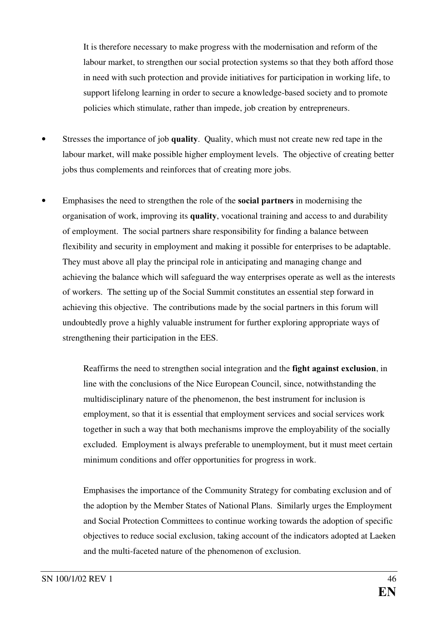It is therefore necessary to make progress with the modernisation and reform of the labour market, to strengthen our social protection systems so that they both afford those in need with such protection and provide initiatives for participation in working life, to support lifelong learning in order to secure a knowledge-based society and to promote policies which stimulate, rather than impede, job creation by entrepreneurs.

- Stresses the importance of job quality. Quality, which must not create new red tape in the labour market, will make possible higher employment levels. The objective of creating better jobs thus complements and reinforces that of creating more jobs.
- Emphasises the need to strengthen the role of the **social partners** in modernising the organisation of work, improving its quality, vocational training and access to and durability of employment. The social partners share responsibility for finding a balance between flexibility and security in employment and making it possible for enterprises to be adaptable. They must above all play the principal role in anticipating and managing change and achieving the balance which will safeguard the way enterprises operate as well as the interests of workers. The setting up of the Social Summit constitutes an essential step forward in achieving this objective. The contributions made by the social partners in this forum will undoubtedly prove a highly valuable instrument for further exploring appropriate ways of strengthening their participation in the EES.

Reaffirms the need to strengthen social integration and the fight against exclusion, in line with the conclusions of the Nice European Council, since, notwithstanding the multidisciplinary nature of the phenomenon, the best instrument for inclusion is employment, so that it is essential that employment services and social services work together in such a way that both mechanisms improve the employability of the socially excluded. Employment is always preferable to unemployment, but it must meet certain minimum conditions and offer opportunities for progress in work.

Emphasises the importance of the Community Strategy for combating exclusion and of the adoption by the Member States of National Plans. Similarly urges the Employment and Social Protection Committees to continue working towards the adoption of specific objectives to reduce social exclusion, taking account of the indicators adopted at Laeken and the multi-faceted nature of the phenomenon of exclusion.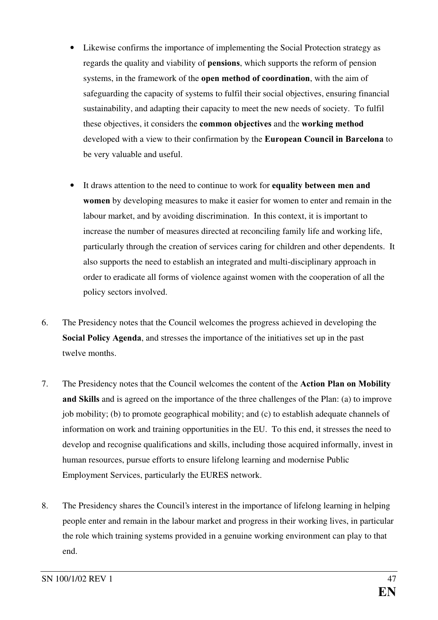- Likewise confirms the importance of implementing the Social Protection strategy as regards the quality and viability of **pensions**, which supports the reform of pension systems, in the framework of the **open method of coordination**, with the aim of safeguarding the capacity of systems to fulfil their social objectives, ensuring financial sustainability, and adapting their capacity to meet the new needs of society. To fulfil these objectives, it considers the **common objectives** and the **working method** developed with a view to their confirmation by the European Council in Barcelona to be very valuable and useful.
- It draws attention to the need to continue to work for equality between men and **women** by developing measures to make it easier for women to enter and remain in the labour market, and by avoiding discrimination. In this context, it is important to increase the number of measures directed at reconciling family life and working life, particularly through the creation of services caring for children and other dependents. It also supports the need to establish an integrated and multi-disciplinary approach in order to eradicate all forms of violence against women with the cooperation of all the policy sectors involved.
- 6. The Presidency notes that the Council welcomes the progress achieved in developing the Social Policy Agenda, and stresses the importance of the initiatives set up in the past twelve months.
- 7. The Presidency notes that the Council welcomes the content of the **Action Plan on Mobility** and Skills and is agreed on the importance of the three challenges of the Plan: (a) to improve job mobility; (b) to promote geographical mobility; and (c) to establish adequate channels of information on work and training opportunities in the EU. To this end, it stresses the need to develop and recognise qualifications and skills, including those acquired informally, invest in human resources, pursue efforts to ensure lifelong learning and modernise Public Employment Services, particularly the EURES network.
- 8. The Presidency shares the Council's interest in the importance of lifelong learning in helping people enter and remain in the labour market and progress in their working lives, in particular the role which training systems provided in a genuine working environment can play to that end.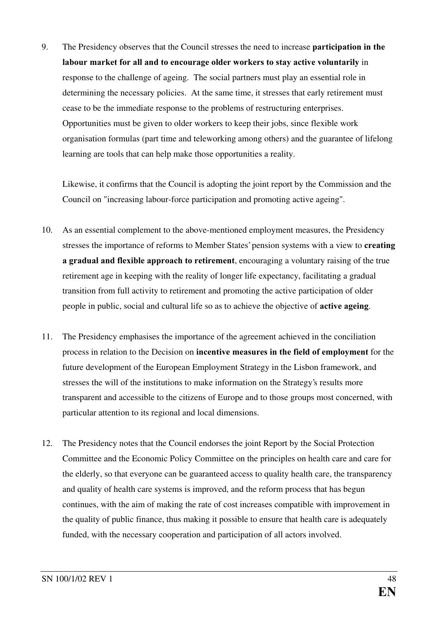9. The Presidency observes that the Council stresses the need to increase **participation in the** labour market for all and to encourage older workers to stay active voluntarily in response to the challenge of ageing. The social partners must play an essential role in determining the necessary policies. At the same time, it stresses that early retirement must cease to be the immediate response to the problems of restructuring enterprises. Opportunities must be given to older workers to keep their jobs, since flexible work organisation formulas (part time and teleworking among others) and the guarantee of lifelong learning are tools that can help make those opportunities a reality.

Likewise, it confirms that the Council is adopting the joint report by the Commission and the Council on "increasing labour-force participation and promoting active ageing".

- 10. As an essential complement to the above-mentioned employment measures, the Presidency stresses the importance of reforms to Member States' pension systems with a view to **creating** a gradual and flexible approach to retirement, encouraging a voluntary raising of the true retirement age in keeping with the reality of longer life expectancy, facilitating a gradual transition from full activity to retirement and promoting the active participation of older people in public, social and cultural life so as to achieve the objective of **active ageing**.
- 11. The Presidency emphasises the importance of the agreement achieved in the conciliation process in relation to the Decision on **incentive measures in the field of employment** for the future development of the European Employment Strategy in the Lisbon framework, and stresses the will of the institutions to make information on the Strategy's results more transparent and accessible to the citizens of Europe and to those groups most concerned, with particular attention to its regional and local dimensions.
- 12. The Presidency notes that the Council endorses the joint Report by the Social Protection Committee and the Economic Policy Committee on the principles on health care and care for the elderly, so that everyone can be guaranteed access to quality health care, the transparency and quality of health care systems is improved, and the reform process that has begun continues, with the aim of making the rate of cost increases compatible with improvement in the quality of public finance, thus making it possible to ensure that health care is adequately funded, with the necessary cooperation and participation of all actors involved.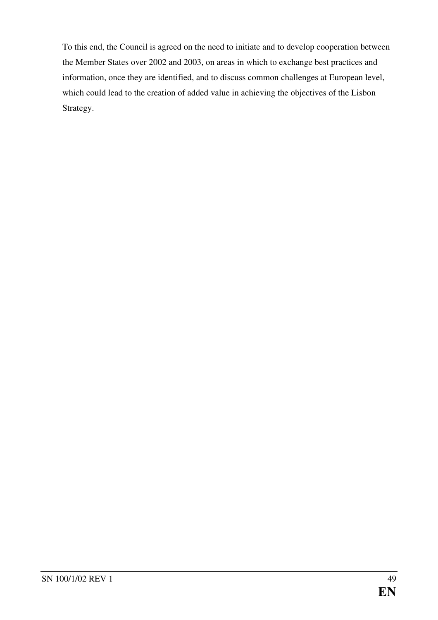To this end, the Council is agreed on the need to initiate and to develop cooperation between the Member States over 2002 and 2003, on areas in which to exchange best practices and information, once they are identified, and to discuss common challenges at European level, which could lead to the creation of added value in achieving the objectives of the Lisbon Strategy.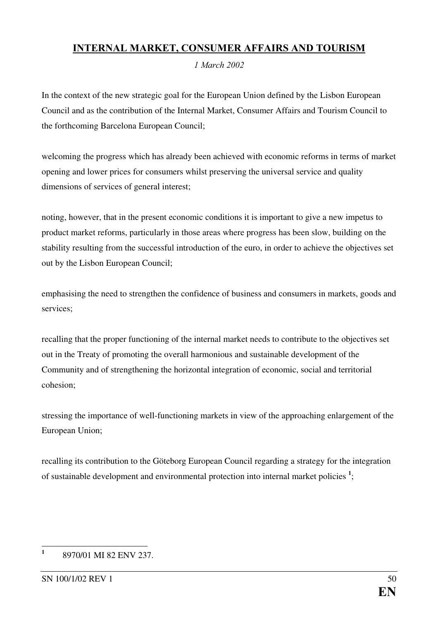# <span id="page-50-0"></span>INTERNAL MARKET, CONSUMER AFFAIRS AND TOURISM

*1 March* 2002

In the context of the new strategic goal for the European Union defined by the Lisbon European Council and as the contribution of the Internal Market, Consumer Affairs and Tourism Council to the forthcoming Barcelona European Council;

welcoming the progress which has already been achieved with economic reforms in terms of market opening and lower prices for consumers whilst preserving the universal service and quality dimensions of services of general interest;

noting, however, that in the present economic conditions it is important to give a new impetus to product market reforms, particularly in those areas where progress has been slow, building on the stability resulting from the successful introduction of the euro, in order to achieve the objectives set out by the Lisbon European Council;

emphasising the need to strengthen the confidence of business and consumers in markets, goods and services;

recalling that the proper functioning of the internal market needs to contribute to the objectives set out in the Treaty of promoting the overall harmonious and sustainable development of the Community and of strengthening the horizontal integration of economic, social and territorial cohesion;

stressing the importance of well-functioning markets in view of the approaching enlargement of the European Union;

recalling its contribution to the Göteborg European Council regarding a strategy for the integration of sustainable development and environmental protection into internal market policies  $\frac{1}{2}$ [;](#page-51-0)

 $\frac{1}{1}$ 8970/01 MI 82 ENV 237.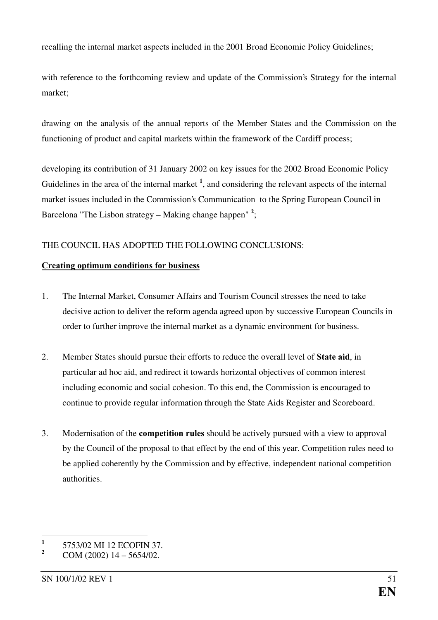<span id="page-51-0"></span>recalling the internal market aspects included in the 2001 Broad Economic Policy Guidelines;

with reference to the forthcoming review and update of the Commission's Strategy for the internal market;

drawing on the analysis of the annual reports of the Member States and the Commission on the functioning of product and capital markets within the framework of the Cardiff process;

developing its contribution of 31 January 2002 on key issues for the 2002 Broad Economic Policy Guidelines in the area of the internal market  $<sup>1</sup>$ , and considering the relevant aspects of the internal</sup> market issues included in the Commission's Communication to the Spring European Council in Barcelona "The Lisbon strategy – Making change happen"<sup>2</sup>[;](#page-52-0)

### THE COUNCIL HAS ADOPTED THE FOLLOWING CONCLUSIONS:

### Creating optimum conditions for business

- 1. The Internal Market, Consumer Affairs and Tourism Council stresses the need to take decisive action to deliver the reform agenda agreed upon by successive European Councils in order to further improve the internal market as a dynamic environment for business.
- 2. Member States should pursue their efforts to reduce the overall level of State aid, in particular ad hoc aid, and redirect it towards horizontal objectives of common interest including economic and social cohesion. To this end, the Commission is encouraged to continue to provide regular information through the State Aids Register and Scoreboard.
- 3. Modernisation of the **competition rules** should be actively pursued with a view to approval by the Council of the proposal to that effect by the end of this year. Competition rules need to be applied coherently by the Commission and by effective, independent national competition authorities.

 $\frac{1}{1}$ 5753/02 MI 12 ECOFIN 37.

 $2 \text{ COM } (2002) \text{ 14} - 5654/02.$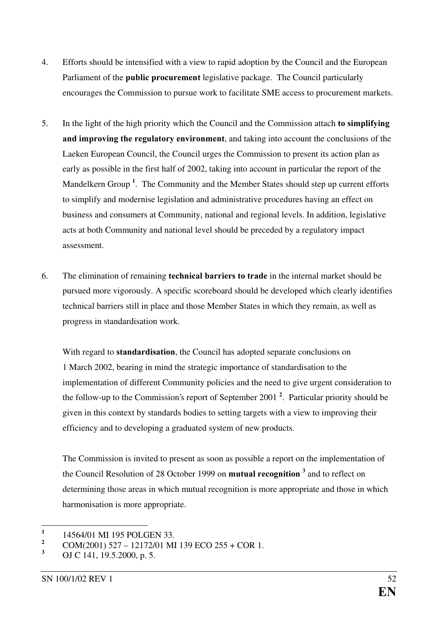- <span id="page-52-0"></span>4. Efforts should be intensified with a view to rapid adoption by the Council and the European Parliament of the **public procurement** legislative package. The Council particularly encourages the Commission to pursue work to facilitate SME access to procurement markets.
- 5. In the light of the high priority which the Council and the Commission attach to simplifying and improving the regulatory environment, and taking into account the conclusions of the Laeken European Council, the Council urges the Commission to present its action plan as early as possible in the first half of 2002, taking into account in particular the report of the Mandelkern Group<sup>1</sup>. The Community and the Member States should step up current efforts to simplify and modernise legislation and administrative procedures having an effect on business and consumers at Community, national and regional levels. In addition, legislative acts at both Community and national level should be preceded by a regulatory impact assessment.
- 6. The elimination of remaining **technical barriers to trade** in the internal market should be pursued more vigorously. A specific scoreboard should be developed which clearly identifies technical barriers still in place and those Member States in which they remain, as well as progress in standardisation work.

With regard to **standardisation**, the Council has adopted separate conclusions on 1 March 2002, bearing in mind the strategic importance of standardisation to the implementation of different Community policies and the need to give urgent consideration to the follow-up to the Commission's report of September 2001<sup>2</sup>. Particular priority should be given in this context by standards bodies to setting targets with a view to improving their efficiency and to developing a graduated system of new products.

The Commission is invited to present as soon as possible a report on the implementation of the Council Resolution of 28 October 1999 on **mutu[a](#page-53-0)l recognition** <sup>3</sup> and to reflect on determining those areas in which mutual recognition is more appropriate and those in which harmonisation is more appropriate.

 $\frac{1}{1}$ 14564/01 MI 195 POLGEN 33.

 $\frac{2}{3}$  COM(2001) 527 – 12172/01 MI 139 ECO 255 + COR 1.

OJ C 141, 19.5.2000, p. 5.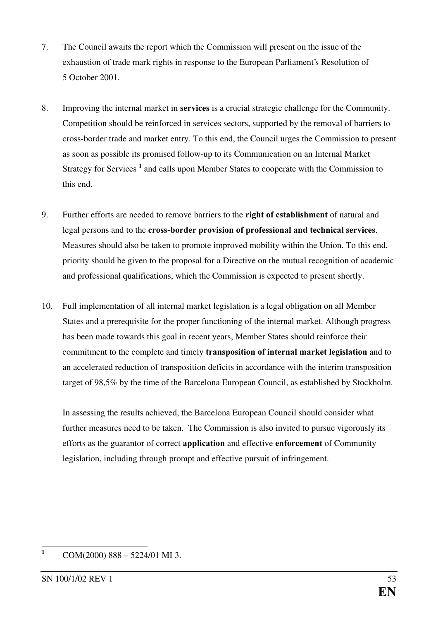- <span id="page-53-0"></span>7. The Council awaits the report which the Commission will present on the issue of the exhaustion of trade mark rights in response to the European Parliament's Resolution of 5 October 2001.
- 8. Improving the internal market in **services** is a crucial strategic challenge for the Community. Competition should be reinforced in services sectors, supported by the removal of barriers to cross-border trade and market entry. To this end, the Council urges the Commission to present as soon as possible its promised follow-up to its Communication on an Internal Market Strategy for Services<sup>1</sup> and calls upon Member States to cooperate with the Commission to this end.
- 9. Further efforts are needed to remove barriers to the right of establishment of natural and legal persons and to the cross-border provision of professional and technical services. Measures should also be taken to promote improved mobility within the Union. To this end, priority should be given to the proposal for a Directive on the mutual recognition of academic and professional qualifications, which the Commission is expected to present shortly.
- 10. Full implementation of all internal market legislation is a legal obligation on all Member States and a prerequisite for the proper functioning of the internal market. Although progress has been made towards this goal in recent years, Member States should reinforce their commitment to the complete and timely **transposition of internal market legislation** and to an accelerated reduction of transposition deficits in accordance with the interim transposition target of 98,5% by the time of the Barcelona European Council, as established by Stockholm.

In assessing the results achieved, the Barcelona European Council should consider what further measures need to be taken. The Commission is also invited to pursue vigorously its efforts as the guarantor of correct **application** and effective **enforcement** of Community legislation, including through prompt and effective pursuit of infringement.

 $\mathbf{1}$ COM(2000) 888 – 5224/01 MI 3.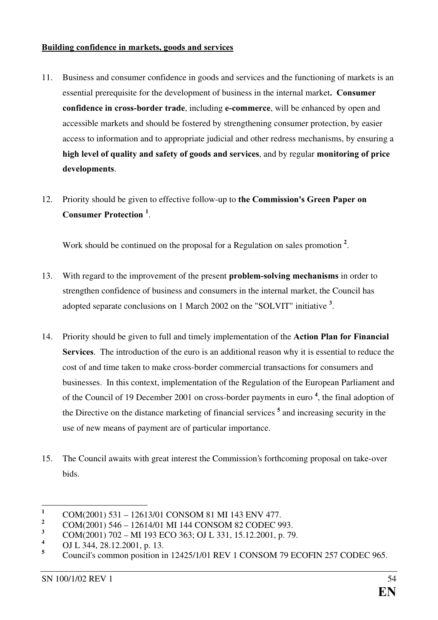#### <span id="page-54-0"></span>Building confidence in markets, goods and services

- 11. Business and consumer confidence in goods and services and the functioning of markets is an essential prerequisite for the development of business in the internal market. Consumer confidence in cross-border trade, including e-commerce, will be enhanced by open and accessible markets and should be fostered by strengthening consumer protection, by easier access to information and to appropriate judicial and other redress mechanisms, by ensuring a high level of quality and safety of goods and services, and by regular monitoring of price developments.
- 12. Priority should be given to effective follow-up to the Commission's Green Paper on Consumer Protection<sup>1</sup>.

Work should be continued on the proposal for a Regulation on sales promotion<sup>2</sup>.

- 13. With regard to the improvement of the present **problem-solving mechanisms** in order to strengthen confidence of business and consumers in the internal market, the Council has adopted separate conclusions on 1 March 2002 on the "SOLVIT" initiative  $3$ .
- 14. Priority should be given to full and timely implementation of the **Action Plan for Financial** Services. The introduction of the euro is an additional reason why it is essential to reduce the cost of and time taken to make cross-border commercial transactions for consumers and businesses. In this context, implementation of the Regulation of the European Parliament and of the Council of 19 December 2001 on cross-border payments in euro<sup>4</sup>, the final adoption of the Directive on the distance marketing of financial services<sup>5</sup> and increasing security in the use of new means of payment are of particular importance.
- 15. The Council awaits with great interest the Commission's forthcoming proposal on take-over bids.

 $\mathbf{1}$  $\frac{1}{2} \qquad \text{COM}(2001) \; 531 - 12613/01 \; \text{CONSON} \; 81 \; \text{MI} \; 143 \; \text{ENV} \; 477.$ 

 $\frac{2}{3}$  COM(2001) 546 – 12614/01 MI 144 CONSOM 82 CODEC 993.

COM(2001) 702 – MI 193 ECO 363; OJ L 331, 15.12.2001, p. 79.

<sup>&</sup>lt;sup>4</sup> OJ L 344, 28.12.2001, p. 13.

Council's common position in 12425/1/01 REV 1 CONSOM 79 ECOFIN 257 CODEC 965.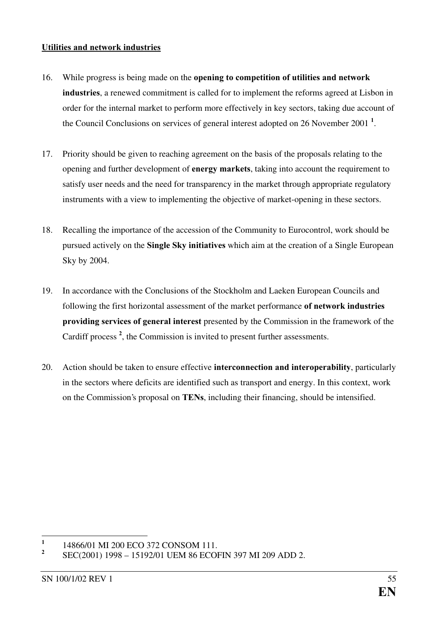#### <span id="page-55-0"></span>Utilities and network industries

- 16. While progress is being made on the opening to competition of utilities and network industries, a renewed commitment is called for to implement the reforms agreed at Lisbon in order for the internal market to perform more effectively in key sectors, taking due account of the Council Conclusions on services of general interest adopted on 26 November 2001<sup>1</sup>.
- 17. Priority should be given to reaching agreement on the basis of the proposals relating to the opening and further development of energy markets, taking into account the requirement to satisfy user needs and the need for transparency in the market through appropriate regulatory instruments with a view to implementing the objective of market-opening in these sectors.
- 18. Recalling the importance of the accession of the Community to Eurocontrol, work should be pursued actively on the **Single Sky initiatives** which aim at the creation of a Single European Sky by 2004.
- 19. In accordance with the Conclusions of the Stockholm and Laeken European Councils and following the first horizontal assessment of the market performance of network industries **providing services of general interest** presented by the Commission in the framework of the Cardiff process<sup>2</sup>[,](#page-63-0) the Commission is invited to present further assessments.
- 20. Action should be taken to ensure effective **interconnection and interoperability**, particularly in the sectors where deficits are identified such as transport and energy. In this context, work on the Commission's proposal on **TENs**, including their financing, should be intensified.

 $\frac{1}{1}$ 14866/01 MI 200 ECO 372 CONSOM 111.

 $\overline{2}$ SEC(2001) 1998 – 15192/01 UEM 86 ECOFIN 397 MI 209 ADD 2.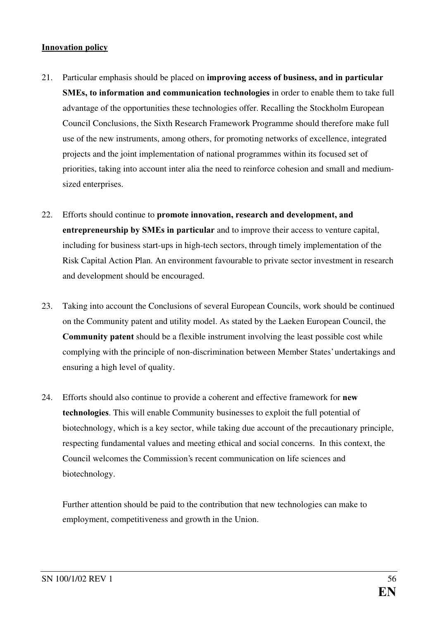#### Innovation policy

- 21. Particular emphasis should be placed on **improving access of business, and in particular** SMEs, to information and communication technologies in order to enable them to take full advantage of the opportunities these technologies offer. Recalling the Stockholm European Council Conclusions, the Sixth Research Framework Programme should therefore make full use of the new instruments, among others, for promoting networks of excellence, integrated projects and the joint implementation of national programmes within its focused set of priorities, taking into account inter alia the need to reinforce cohesion and small and mediumsized enterprises.
- 22. Efforts should continue to **promote innovation, research and development, and** entrepreneurship by SMEs in particular and to improve their access to venture capital, including for business start-ups in high-tech sectors, through timely implementation of the Risk Capital Action Plan. An environment favourable to private sector investment in research and development should be encouraged.
- 23. Taking into account the Conclusions of several European Councils, work should be continued on the Community patent and utility model. As stated by the Laeken European Council, the **Community patent** should be a flexible instrument involving the least possible cost while complying with the principle of non-discrimination between Member States'undertakings and ensuring a high level of quality.
- 24. Efforts should also continue to provide a coherent and effective framework for **new** technologies. This will enable Community businesses to exploit the full potential of biotechnology, which is a key sector, while taking due account of the precautionary principle, respecting fundamental values and meeting ethical and social concerns. In this context, the Council welcomes the Commission's recent communication on life sciences and biotechnology.

Further attention should be paid to the contribution that new technologies can make to employment, competitiveness and growth in the Union.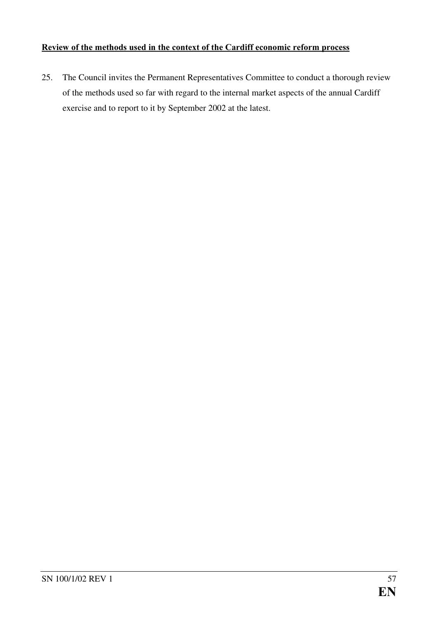### Review of the methods used in the context of the Cardiff economic reform process

25. The Council invites the Permanent Representatives Committee to conduct a thorough review of the methods used so far with regard to the internal market aspects of the annual Cardiff exercise and to report to it by September 2002 at the latest.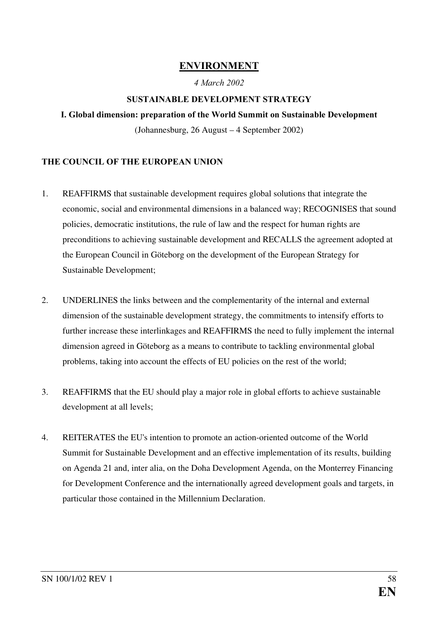### **ENVIRONMENT**

### 4 March 2002

### SUSTAINABLE DEVELOPMENT STRATEGY

### I. Global dimension: preparation of the World Summit on Sustainable Development

(Johannesburg, 26 August – 4 September 2002)

### THE COUNCIL OF THE EUROPEAN UNION

- 1. REAFFIRMS that sustainable development requires global solutions that integrate the economic, social and environmental dimensions in a balanced way; RECOGNISES that sound policies, democratic institutions, the rule of law and the respect for human rights are preconditions to achieving sustainable development and RECALLS the agreement adopted at the European Council in Göteborg on the development of the European Strategy for Sustainable Development;
- 2. UNDERLINES the links between and the complementarity of the internal and external dimension of the sustainable development strategy, the commitments to intensify efforts to further increase these interlinkages and REAFFIRMS the need to fully implement the internal dimension agreed in Göteborg as a means to contribute to tackling environmental global problems, taking into account the effects of EU policies on the rest of the world;
- 3. REAFFIRMS that the EU should play a major role in global efforts to achieve sustainable development at all levels;
- 4. REITERATES the EU's intention to promote an action-oriented outcome of the World Summit for Sustainable Development and an effective implementation of its results, building on Agenda 21 and, inter alia, on the Doha Development Agenda, on the Monterrey Financing for Development Conference and the internationally agreed development goals and targets, in particular those contained in the Millennium Declaration.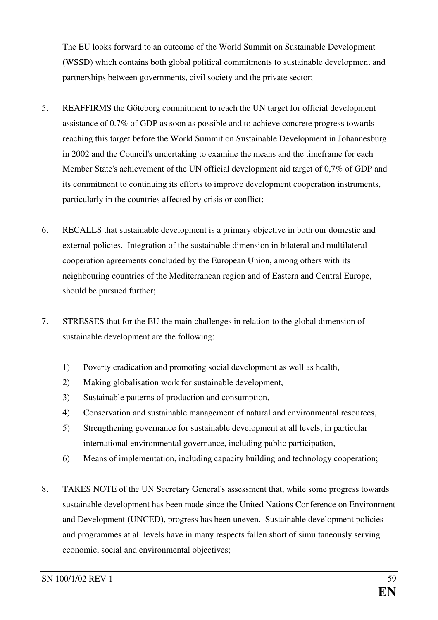The EU looks forward to an outcome of the World Summit on Sustainable Development (WSSD) which contains both global political commitments to sustainable development and partnerships between governments, civil society and the private sector;

- 5. REAFFIRMS the Göteborg commitment to reach the UN target for official development assistance of 0.7% of GDP as soon as possible and to achieve concrete progress towards reaching this target before the World Summit on Sustainable Development in Johannesburg in 2002 and the Council's undertaking to examine the means and the timeframe for each Member State's achievement of the UN official development aid target of 0,7% of GDP and its commitment to continuing its efforts to improve development cooperation instruments, particularly in the countries affected by crisis or conflict;
- 6. RECALLS that sustainable development is a primary objective in both our domestic and external policies. Integration of the sustainable dimension in bilateral and multilateral cooperation agreements concluded by the European Union, among others with its neighbouring countries of the Mediterranean region and of Eastern and Central Europe, should be pursued further;
- 7. STRESSES that for the EU the main challenges in relation to the global dimension of sustainable development are the following:
	- 1) Poverty eradication and promoting social development as well as health,
	- 2) Making globalisation work for sustainable development,
	- 3) Sustainable patterns of production and consumption,
	- 4) Conservation and sustainable management of natural and environmental resources,
	- 5) Strengthening governance for sustainable development at all levels, in particular international environmental governance, including public participation,
	- 6) Means of implementation, including capacity building and technology cooperation;
- 8. TAKES NOTE of the UN Secretary General's assessment that, while some progress towards sustainable development has been made since the United Nations Conference on Environment and Development (UNCED), progress has been uneven. Sustainable development policies and programmes at all levels have in many respects fallen short of simultaneously serving economic, social and environmental objectives;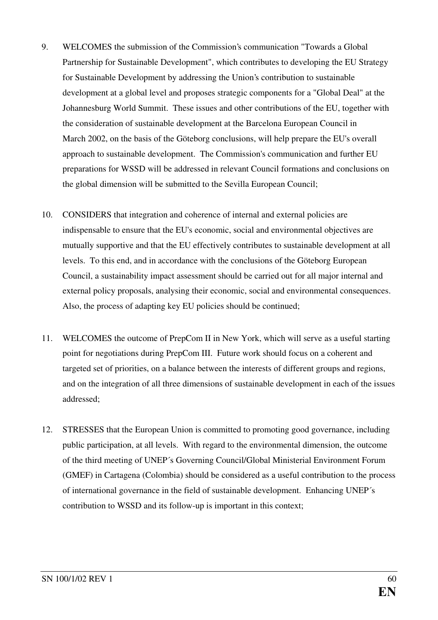- 9. WELCOMES the submission of the Commission's communication "Towards a Global Partnership for Sustainable Development", which contributes to developing the EU Strategy for Sustainable Development by addressing the Union's contribution to sustainable development at a global level and proposes strategic components for a "Global Deal" at the Johannesburg World Summit. These issues and other contributions of the EU, together with the consideration of sustainable development at the Barcelona European Council in March 2002, on the basis of the Göteborg conclusions, will help prepare the EU's overall approach to sustainable development. The Commission's communication and further EU preparations for WSSD will be addressed in relevant Council formations and conclusions on the global dimension will be submitted to the Sevilla European Council;
- 10. CONSIDERS that integration and coherence of internal and external policies are indispensable to ensure that the EU's economic, social and environmental objectives are mutually supportive and that the EU effectively contributes to sustainable development at all levels. To this end, and in accordance with the conclusions of the Göteborg European Council, a sustainability impact assessment should be carried out for all major internal and external policy proposals, analysing their economic, social and environmental consequences. Also, the process of adapting key EU policies should be continued;
- 11. WELCOMES the outcome of PrepCom II in New York, which will serve as a useful starting point for negotiations during PrepCom III. Future work should focus on a coherent and targeted set of priorities, on a balance between the interests of different groups and regions, and on the integration of all three dimensions of sustainable development in each of the issues addressed;
- 12. STRESSES that the European Union is committed to promoting good governance, including public participation, at all levels. With regard to the environmental dimension, the outcome of the third meeting of UNEP´s Governing Council/Global Ministerial Environment Forum (GMEF) in Cartagena (Colombia) should be considered as a useful contribution to the process of international governance in the field of sustainable development. Enhancing UNEP´s contribution to WSSD and its follow-up is important in this context;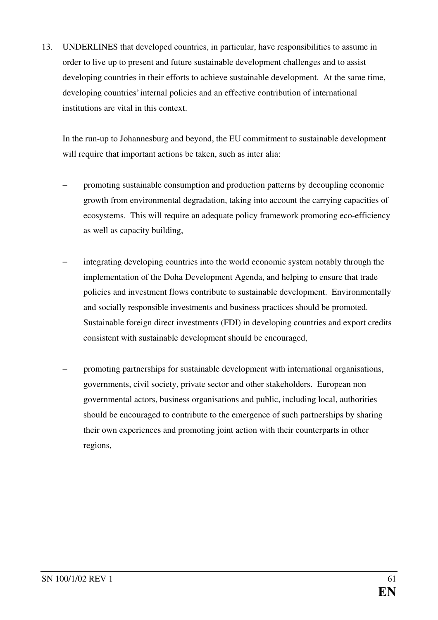13. UNDERLINES that developed countries, in particular, have responsibilities to assume in order to live up to present and future sustainable development challenges and to assist developing countries in their efforts to achieve sustainable development. At the same time, developing countries'internal policies and an effective contribution of international institutions are vital in this context.

In the run-up to Johannesburg and beyond, the EU commitment to sustainable development will require that important actions be taken, such as inter alia:

- promoting sustainable consumption and production patterns by decoupling economic growth from environmental degradation, taking into account the carrying capacities of ecosystems. This will require an adequate policy framework promoting eco-efficiency as well as capacity building,
- integrating developing countries into the world economic system notably through the implementation of the Doha Development Agenda, and helping to ensure that trade policies and investment flows contribute to sustainable development. Environmentally and socially responsible investments and business practices should be promoted. Sustainable foreign direct investments (FDI) in developing countries and export credits consistent with sustainable development should be encouraged,
- promoting partnerships for sustainable development with international organisations, governments, civil society, private sector and other stakeholders. European non governmental actors, business organisations and public, including local, authorities should be encouraged to contribute to the emergence of such partnerships by sharing their own experiences and promoting joint action with their counterparts in other regions,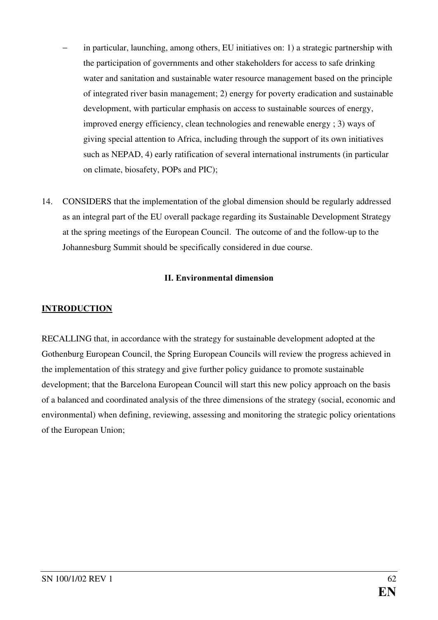- in particular, launching, among others, EU initiatives on: 1) a strategic partnership with the participation of governments and other stakeholders for access to safe drinking water and sanitation and sustainable water resource management based on the principle of integrated river basin management; 2) energy for poverty eradication and sustainable development, with particular emphasis on access to sustainable sources of energy, improved energy efficiency, clean technologies and renewable energy ; 3) ways of giving special attention to Africa, including through the support of its own initiatives such as NEPAD, 4) early ratification of several international instruments (in particular on climate, biosafety, POPs and PIC);
- 14. CONSIDERS that the implementation of the global dimension should be regularly addressed as an integral part of the EU overall package regarding its Sustainable Development Strategy at the spring meetings of the European Council. The outcome of and the follow-up to the Johannesburg Summit should be specifically considered in due course.

### II. Environmental dimension

### INTRODUCTION

RECALLING that, in accordance with the strategy for sustainable development adopted at the Gothenburg European Council, the Spring European Councils will review the progress achieved in the implementation of this strategy and give further policy guidance to promote sustainable development; that the Barcelona European Council will start this new policy approach on the basis of a balanced and coordinated analysis of the three dimensions of the strategy (social, economic and environmental) when defining, reviewing, assessing and monitoring the strategic policy orientations of the European Union;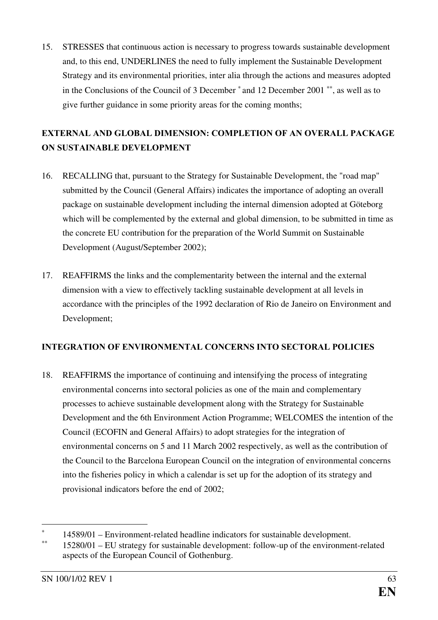<span id="page-63-0"></span>15. STRESSES that continuous action is necessary to progress towards sustainable development and, to this end, UNDERLINES the need to fully implement the Sustainable Development Strategy and its environmental priorities, inter alia through the actions and measures adopted in the Conclusions of the Council of 3 December  $*$  and 12 December 2001  $**$ , as well as to give further guidance in some priority areas for the coming months;

## EXTERNAL AND GLOBAL DIMENSION: COMPLETION OF AN OVERALL PACKAGE ON SUSTAINABLE DEVELOPMENT

- 16. RECALLING that, pursuant to the Strategy for Sustainable Development, the "road map" submitted by the Council (General Affairs) indicates the importance of adopting an overall package on sustainable development including the internal dimension adopted at Göteborg which will be complemented by the external and global dimension, to be submitted in time as the concrete EU contribution for the preparation of the World Summit on Sustainable Development (August/September 2002);
- 17. REAFFIRMS the links and the complementarity between the internal and the external dimension with a view to effectively tackling sustainable development at all levels in accordance with the principles of the 1992 declaration of Rio de Janeiro on Environment and Development;

### INTEGRATION OF ENVIRONMENTAL CONCERNS INTO SECTORAL POLICIES

18. REAFFIRMS the importance of continuing and intensifying the process of integrating environmental concerns into sectoral policies as one of the main and complementary processes to achieve sustainable development along with the Strategy for Sustainable Development and the 6th Environment Action Programme; WELCOMES the intention of the Council (ECOFIN and General Affairs) to adopt strategies for the integration of environmental concerns on 5 and 11 March 2002 respectively, as well as the contribution of the Council to the Barcelona European Council on the integration of environmental concerns into the fisheries policy in which a calendar is set up for the adoption of its strategy and provisional indicators before the end of 2002;

 $\overline{a}$ ∗ 14589/01 – Environment-related headline indicators for sustainable development.

<sup>∗∗</sup> 15280/01 – EU strategy for sustainable development: follow-up of the environment-related aspects of the European Council of Gothenburg.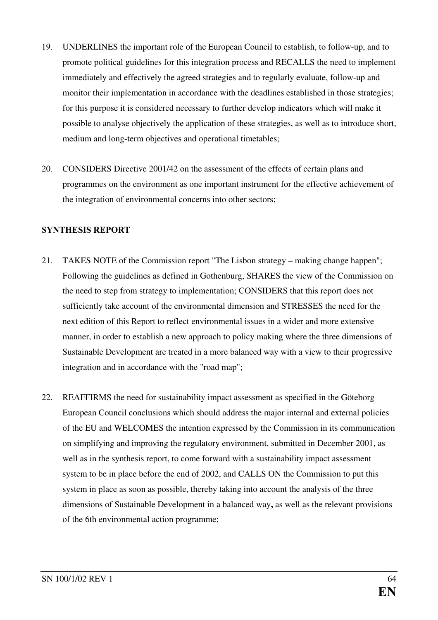- 19. UNDERLINES the important role of the European Council to establish, to follow-up, and to promote political guidelines for this integration process and RECALLS the need to implement immediately and effectively the agreed strategies and to regularly evaluate, follow-up and monitor their implementation in accordance with the deadlines established in those strategies; for this purpose it is considered necessary to further develop indicators which will make it possible to analyse objectively the application of these strategies, as well as to introduce short, medium and long-term objectives and operational timetables;
- 20. CONSIDERS Directive 2001/42 on the assessment of the effects of certain plans and programmes on the environment as one important instrument for the effective achievement of the integration of environmental concerns into other sectors;

### **SYNTHESIS REPORT**

- 21. TAKES NOTE of the Commission report "The Lisbon strategy making change happen"; Following the guidelines as defined in Gothenburg, SHARES the view of the Commission on the need to step from strategy to implementation; CONSIDERS that this report does not sufficiently take account of the environmental dimension and STRESSES the need for the next edition of this Report to reflect environmental issues in a wider and more extensive manner, in order to establish a new approach to policy making where the three dimensions of Sustainable Development are treated in a more balanced way with a view to their progressive integration and in accordance with the "road map";
- 22. REAFFIRMS the need for sustainability impact assessment as specified in the Göteborg European Council conclusions which should address the major internal and external policies of the EU and WELCOMES the intention expressed by the Commission in its communication on simplifying and improving the regulatory environment, submitted in December 2001, as well as in the synthesis report, to come forward with a sustainability impact assessment system to be in place before the end of 2002, and CALLS ON the Commission to put this system in place as soon as possible, thereby taking into account the analysis of the three dimensions of Sustainable Development in a balanced way, as well as the relevant provisions of the 6th environmental action programme;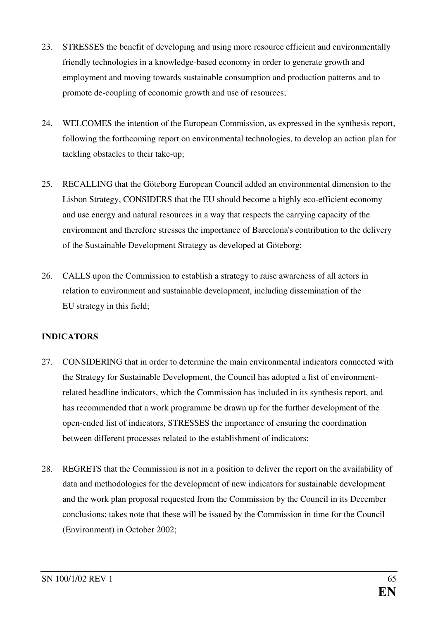- 23. STRESSES the benefit of developing and using more resource efficient and environmentally friendly technologies in a knowledge-based economy in order to generate growth and employment and moving towards sustainable consumption and production patterns and to promote de-coupling of economic growth and use of resources;
- 24. WELCOMES the intention of the European Commission, as expressed in the synthesis report, following the forthcoming report on environmental technologies, to develop an action plan for tackling obstacles to their take-up;
- 25. RECALLING that the Göteborg European Council added an environmental dimension to the Lisbon Strategy, CONSIDERS that the EU should become a highly eco-efficient economy and use energy and natural resources in a way that respects the carrying capacity of the environment and therefore stresses the importance of Barcelona's contribution to the delivery of the Sustainable Development Strategy as developed at Göteborg;
- 26. CALLS upon the Commission to establish a strategy to raise awareness of all actors in relation to environment and sustainable development, including dissemination of the EU strategy in this field;

### INDICATORS

- 27. CONSIDERING that in order to determine the main environmental indicators connected with the Strategy for Sustainable Development, the Council has adopted a list of environmentrelated headline indicators, which the Commission has included in its synthesis report, and has recommended that a work programme be drawn up for the further development of the open-ended list of indicators, STRESSES the importance of ensuring the coordination between different processes related to the establishment of indicators;
- 28. REGRETS that the Commission is not in a position to deliver the report on the availability of data and methodologies for the development of new indicators for sustainable development and the work plan proposal requested from the Commission by the Council in its December conclusions; takes note that these will be issued by the Commission in time for the Council (Environment) in October 2002;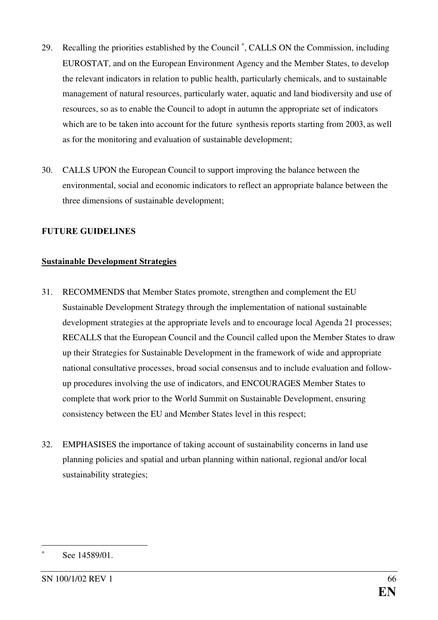- <span id="page-66-0"></span>29. Recalling the priorities established by the Council<sup>\*</sup>, CALLS ON the Commission, including EUROSTAT, and on the European Environment Agency and the Member States, to develop the relevant indicators in relation to public health, particularly chemicals, and to sustainable management of natural resources, particularly water, aquatic and land biodiversity and use of resources, so as to enable the Council to adopt in autumn the appropriate set of indicators which are to be taken into account for the future synthesis reports starting from 2003, as well as for the monitoring and evaluation of sustainable development;
- 30. CALLS UPON the European Council to support improving the balance between the environmental, social and economic indicators to reflect an appropriate balance between the three dimensions of sustainable development;

### **FUTURE GUIDELINES**

#### Sustainable Development Strategies

- 31. RECOMMENDS that Member States promote, strengthen and complement the EU Sustainable Development Strategy through the implementation of national sustainable development strategies at the appropriate levels and to encourage local Agenda 21 processes; RECALLS that the European Council and the Council called upon the Member States to draw up their Strategies for Sustainable Development in the framework of wide and appropriate national consultative processes, broad social consensus and to include evaluation and followup procedures involving the use of indicators, and ENCOURAGES Member States to complete that work prior to the World Summit on Sustainable Development, ensuring consistency between the EU and Member States level in this respect;
- 32. EMPHASISES the importance of taking account of sustainability concerns in land use planning policies and spatial and urban planning within national, regional and/or local sustainability strategies;

 $\overline{a}$ 

<sup>∗</sup> See 14589/01.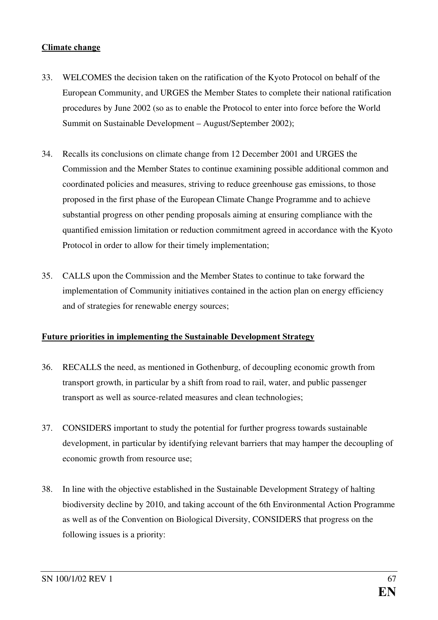#### Climate change

- 33. WELCOMES the decision taken on the ratification of the Kyoto Protocol on behalf of the European Community, and URGES the Member States to complete their national ratification procedures by June 2002 (so as to enable the Protocol to enter into force before the World Summit on Sustainable Development – August/September 2002);
- 34. Recalls its conclusions on climate change from 12 December 2001 and URGES the Commission and the Member States to continue examining possible additional common and coordinated policies and measures, striving to reduce greenhouse gas emissions, to those proposed in the first phase of the European Climate Change Programme and to achieve substantial progress on other pending proposals aiming at ensuring compliance with the quantified emission limitation or reduction commitment agreed in accordance with the Kyoto Protocol in order to allow for their timely implementation;
- 35. CALLS upon the Commission and the Member States to continue to take forward the implementation of Community initiatives contained in the action plan on energy efficiency and of strategies for renewable energy sources;

### Future priorities in implementing the Sustainable Development Strategy

- 36. RECALLS the need, as mentioned in Gothenburg, of decoupling economic growth from transport growth, in particular by a shift from road to rail, water, and public passenger transport as well as source-related measures and clean technologies;
- 37. CONSIDERS important to study the potential for further progress towards sustainable development, in particular by identifying relevant barriers that may hamper the decoupling of economic growth from resource use;
- 38. In line with the objective established in the Sustainable Development Strategy of halting biodiversity decline by 2010, and taking account of the 6th Environmental Action Programme as well as of the Convention on Biological Diversity, CONSIDERS that progress on the following issues is a priority: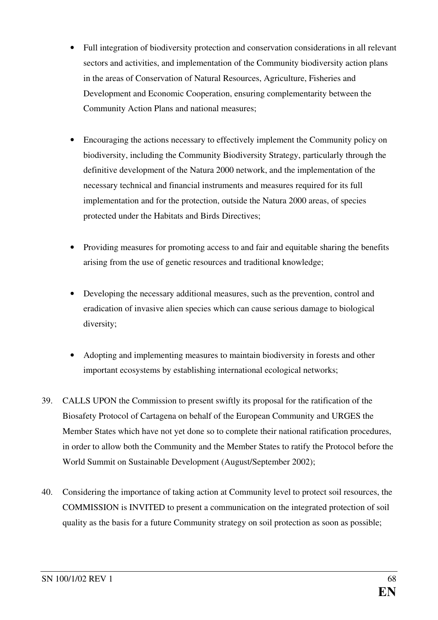- Full integration of biodiversity protection and conservation considerations in all relevant sectors and activities, and implementation of the Community biodiversity action plans in the areas of Conservation of Natural Resources, Agriculture, Fisheries and Development and Economic Cooperation, ensuring complementarity between the Community Action Plans and national measures;
- Encouraging the actions necessary to effectively implement the Community policy on biodiversity, including the Community Biodiversity Strategy, particularly through the definitive development of the Natura 2000 network, and the implementation of the necessary technical and financial instruments and measures required for its full implementation and for the protection, outside the Natura 2000 areas, of species protected under the Habitats and Birds Directives;
- Providing measures for promoting access to and fair and equitable sharing the benefits arising from the use of genetic resources and traditional knowledge;
- Developing the necessary additional measures, such as the prevention, control and eradication of invasive alien species which can cause serious damage to biological diversity;
- Adopting and implementing measures to maintain biodiversity in forests and other important ecosystems by establishing international ecological networks;
- 39. CALLS UPON the Commission to present swiftly its proposal for the ratification of the Biosafety Protocol of Cartagena on behalf of the European Community and URGES the Member States which have not yet done so to complete their national ratification procedures, in order to allow both the Community and the Member States to ratify the Protocol before the World Summit on Sustainable Development (August/September 2002);
- 40. Considering the importance of taking action at Community level to protect soil resources, the COMMISSION is INVITED to present a communication on the integrated protection of soil quality as the basis for a future Community strategy on soil protection as soon as possible;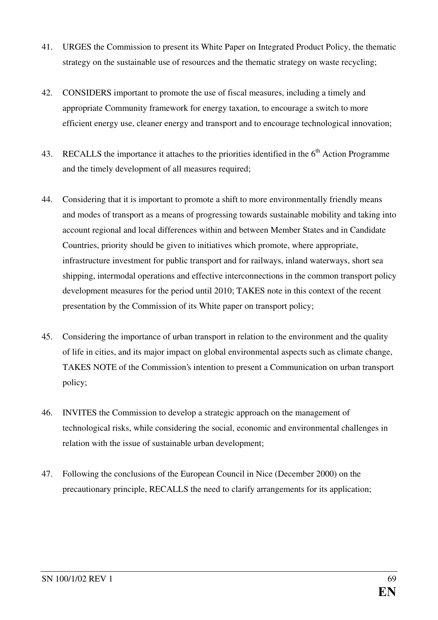- 41. URGES the Commission to present its White Paper on Integrated Product Policy, the thematic strategy on the sustainable use of resources and the thematic strategy on waste recycling;
- 42. CONSIDERS important to promote the use of fiscal measures, including a timely and appropriate Community framework for energy taxation, to encourage a switch to more efficient energy use, cleaner energy and transport and to encourage technological innovation;
- 43. RECALLS the importance it attaches to the priorities identified in the 6<sup>th</sup> Action Programme and the timely development of all measures required;
- 44. Considering that it is important to promote a shift to more environmentally friendly means and modes of transport as a means of progressing towards sustainable mobility and taking into account regional and local differences within and between Member States and in Candidate Countries, priority should be given to initiatives which promote, where appropriate, infrastructure investment for public transport and for railways, inland waterways, short sea shipping, intermodal operations and effective interconnections in the common transport policy development measures for the period until 2010; TAKES note in this context of the recent presentation by the Commission of its White paper on transport policy;
- 45. Considering the importance of urban transport in relation to the environment and the quality of life in cities, and its major impact on global environmental aspects such as climate change, TAKES NOTE of the Commission's intention to present a Communication on urban transport policy;
- 46. INVITES the Commission to develop a strategic approach on the management of technological risks, while considering the social, economic and environmental challenges in relation with the issue of sustainable urban development;
- 47. Following the conclusions of the European Council in Nice (December 2000) on the precautionary principle, RECALLS the need to clarify arrangements for its application;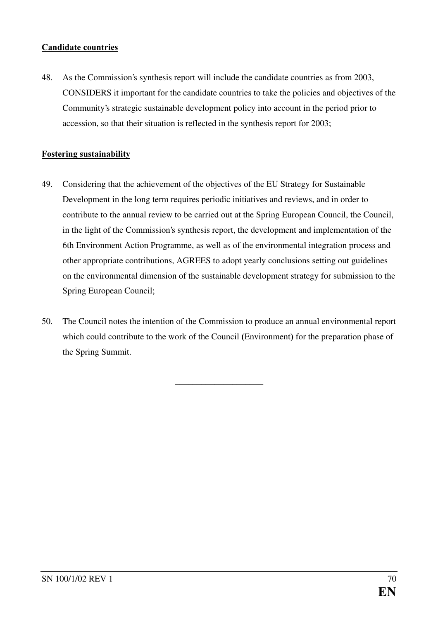#### Candidate countries

48. As the Commission's synthesis report will include the candidate countries as from 2003, CONSIDERS it important for the candidate countries to take the policies and objectives of the Community's strategic sustainable development policy into account in the period prior to accession, so that their situation is reflected in the synthesis report for 2003;

### Fostering sustainability

- 49. Considering that the achievement of the objectives of the EU Strategy for Sustainable Development in the long term requires periodic initiatives and reviews, and in order to contribute to the annual review to be carried out at the Spring European Council, the Council, in the light of the Commission's synthesis report, the development and implementation of the 6th Environment Action Programme, as well as of the environmental integration process and other appropriate contributions, AGREES to adopt yearly conclusions setting out guidelines on the environmental dimension of the sustainable development strategy for submission to the Spring European Council;
- 50. The Council notes the intention of the Commission to produce an annual environmental report which could contribute to the work of the Council (Environment) for the preparation phase of the Spring Summit.

BBBBBBBBBBBBBBBBBBBB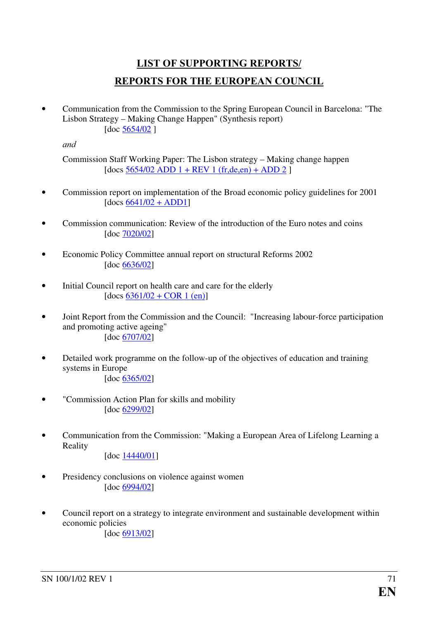# LIST OF SUPPORTING REPORTS/ REPORTS FOR THE EUROPEAN COUNCIL

• Communication from the Commission to the Spring European Council in Barcelona: "The Lisbon Strategy – Making Change Happen" (Synthesis report) [doc [5654/02](http://ue.eu.int/newsroom/related.asp?BID=75&GRP=4296&LANG=1)]

and

Commission Staff Working Paper: The Lisbon strategy – Making change happen  $[does 5654/02 ADD 1 + REV 1 (fr,de, en) + ADD 2]$ 

- Commission report on implementation of the Broad economic policy guidelines for 2001  $[does 6641/02 + ADD1]$  $[does 6641/02 + ADD1]$  $[does 6641/02 + ADD1]$
- Commission communication: Review of the introduction of the Euro notes and coins [doc [7020/02\]](http://ue.eu.int/newsroom/related.asp?BID=75&GRP=4294&LANG=1)
- Economic Policy Committee annual report on structural Reforms 2002 [doc [6636/02\]](http://ue.eu.int/newsroom/related.asp?BID=75&GRP=4288&LANG=1)
- Initial Council report on health care and care for the elderly  $[does 6361/02 + COR 1 (en)]$  $[does 6361/02 + COR 1 (en)]$  $[does 6361/02 + COR 1 (en)]$
- Joint Report from the Commission and the Council: "Increasing labour-force participation and promoting active ageing" [doc [6707/02\]](http://ue.eu.int/newsroom/related.asp?BID=75&GRP=4287&LANG=1)
- Detailed work programme on the follow-up of the objectives of education and training systems in Europe [doc [6365/02\]](http://ue.eu.int/newsroom/related.asp?BID=75&GRP=4280&LANG=1)
- "Commission Action Plan for skills and mobility [doc [6299/02\]](http://ue.eu.int/newsroom/related.asp?BID=75&GRP=4277&LANG=1)
- Communication from the Commission: "Making a European Area of Lifelong Learning a Reality

[doc [14440/01\]](http://ue.eu.int/newsroom/related.asp?BID=75&GRP=4295&LANG=1)

- Presidency conclusions on violence against women [doc [6994/02\]](http://ue.eu.int/newsroom/related.asp?BID=75&GRP=4293&LANG=1)
- Council report on a strategy to integrate environment and sustainable development within economic policies

[doc [6913/02\]](http://ue.eu.int/newsroom/related.asp?BID=75&GRP=4291&LANG=1)